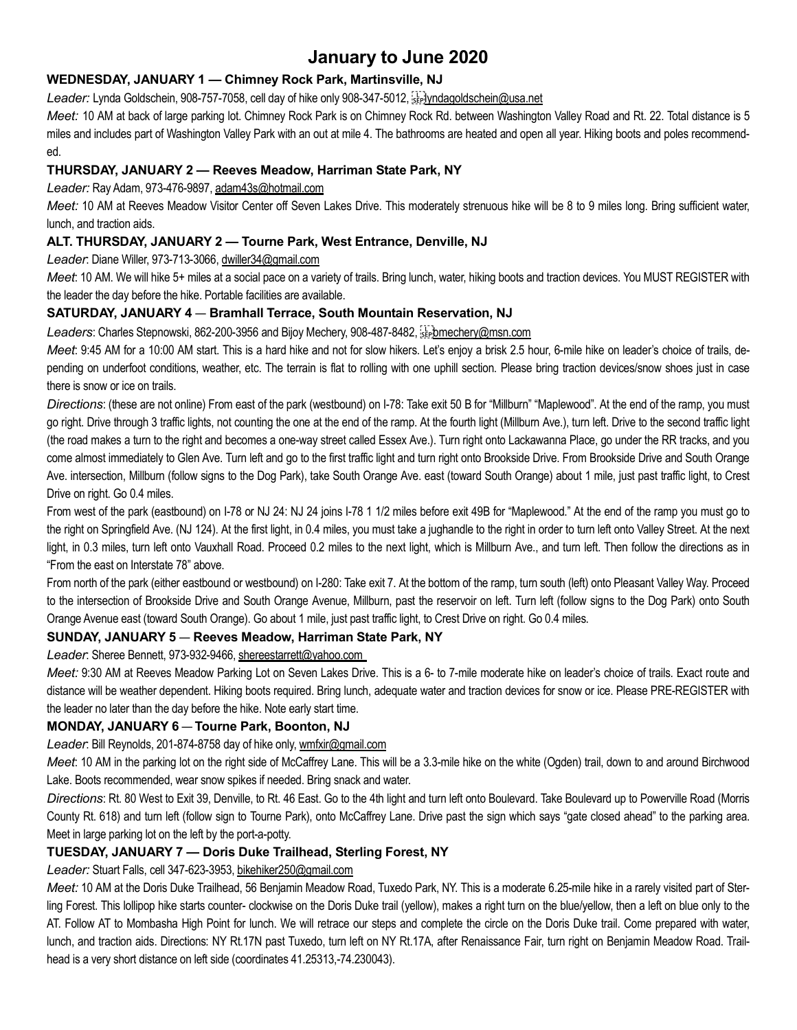# January to June 2020

# WEDNESDAY, JANUARY 1 — Chimney Rock Park, Martinsville, NJ

Leader: Lynda Goldschein, 908-757-7058, cell day of hike only 908-347-5012, seplyndagoldschein@usa.net

Meet: 10 AM at back of large parking lot. Chimney Rock Park is on Chimney Rock Rd. between Washington Valley Road and Rt. 22. Total distance is 5 miles and includes part of Washington Valley Park with an out at mile 4. The bathrooms are heated and open all year. Hiking boots and poles recommended.

# THURSDAY, JANUARY 2 — Reeves Meadow, Harriman State Park, NY

Leader: Ray Adam, 973-476-9897, adam43s@hotmail.com

Meet: 10 AM at Reeves Meadow Visitor Center off Seven Lakes Drive. This moderately strenuous hike will be 8 to 9 miles long. Bring sufficient water, lunch, and traction aids.

# ALT. THURSDAY, JANUARY 2 — Tourne Park, West Entrance, Denville, NJ

Leader: Diane Willer, 973-713-3066, dwiller34@gmail.com

Meet: 10 AM. We will hike 5+ miles at a social pace on a variety of trails. Bring lunch, water, hiking boots and traction devices. You MUST REGISTER with the leader the day before the hike. Portable facilities are available.

# SATURDAY, JANUARY 4 — Bramhall Terrace, South Mountain Reservation, NJ

Leaders: Charles Stepnowski, 862-200-3956 and Bijoy Mechery, 908-487-8482, steppmechery@msn.com

Meet: 9:45 AM for a 10:00 AM start. This is a hard hike and not for slow hikers. Let's enjoy a brisk 2.5 hour, 6-mile hike on leader's choice of trails, depending on underfoot conditions, weather, etc. The terrain is flat to rolling with one uphill section. Please bring traction devices/snow shoes just in case there is snow or ice on trails.

Directions: (these are not online) From east of the park (westbound) on I-78: Take exit 50 B for "Millburn" "Maplewood". At the end of the ramp, you must go right. Drive through 3 traffic lights, not counting the one at the end of the ramp. At the fourth light (Millburn Ave.), turn left. Drive to the second traffic light (the road makes a turn to the right and becomes a one-way street called Essex Ave.). Turn right onto Lackawanna Place, go under the RR tracks, and you come almost immediately to Glen Ave. Turn left and go to the first traffic light and turn right onto Brookside Drive. From Brookside Drive and South Orange Ave. intersection, Millburn (follow signs to the Dog Park), take South Orange Ave. east (toward South Orange) about 1 mile, just past traffic light, to Crest Drive on right. Go 0.4 miles.

From west of the park (eastbound) on I-78 or NJ 24: NJ 24 joins I-78 1 1/2 miles before exit 49B for "Maplewood." At the end of the ramp you must go to the right on Springfield Ave. (NJ 124). At the first light, in 0.4 miles, you must take a jughandle to the right in order to turn left onto Valley Street. At the next light, in 0.3 miles, turn left onto Vauxhall Road. Proceed 0.2 miles to the next light, which is Millburn Ave., and turn left. Then follow the directions as in "From the east on Interstate 78" above.

From north of the park (either eastbound or westbound) on I-280: Take exit 7. At the bottom of the ramp, turn south (left) onto Pleasant Valley Way. Proceed to the intersection of Brookside Drive and South Orange Avenue, Millburn, past the reservoir on left. Turn left (follow signs to the Dog Park) onto South Orange Avenue east (toward South Orange). Go about 1 mile, just past traffic light, to Crest Drive on right. Go 0.4 miles.

# SUNDAY, JANUARY 5 — Reeves Meadow, Harriman State Park, NY

Leader: Sheree Bennett, 973-932-9466, shereestarrett@yahoo.com

Meet: 9:30 AM at Reeves Meadow Parking Lot on Seven Lakes Drive. This is a 6- to 7-mile moderate hike on leader's choice of trails. Exact route and distance will be weather dependent. Hiking boots required. Bring lunch, adequate water and traction devices for snow or ice. Please PRE-REGISTER with the leader no later than the day before the hike. Note early start time.

## MONDAY, JANUARY 6 — Tourne Park, Boonton, NJ

Leader: Bill Reynolds, 201-874-8758 day of hike only, wmfxir@gmail.com

Meet: 10 AM in the parking lot on the right side of McCaffrey Lane. This will be a 3.3-mile hike on the white (Ogden) trail, down to and around Birchwood Lake. Boots recommended, wear snow spikes if needed. Bring snack and water.

Directions: Rt. 80 West to Exit 39, Denville, to Rt. 46 East. Go to the 4th light and turn left onto Boulevard. Take Boulevard up to Powerville Road (Morris County Rt. 618) and turn left (follow sign to Tourne Park), onto McCaffrey Lane. Drive past the sign which says "gate closed ahead" to the parking area. Meet in large parking lot on the left by the port-a-potty.

# TUESDAY, JANUARY 7 — Doris Duke Trailhead, Sterling Forest, NY

Leader: Stuart Falls, cell 347-623-3953, bikehiker250@gmail.com

Meet: 10 AM at the Doris Duke Trailhead, 56 Benjamin Meadow Road, Tuxedo Park, NY. This is a moderate 6.25-mile hike in a rarely visited part of Sterling Forest. This lollipop hike starts counter- clockwise on the Doris Duke trail (yellow), makes a right turn on the blue/yellow, then a left on blue only to the AT. Follow AT to Mombasha High Point for lunch. We will retrace our steps and complete the circle on the Doris Duke trail. Come prepared with water, lunch, and traction aids. Directions: NY Rt.17N past Tuxedo, turn left on NY Rt.17A, after Renaissance Fair, turn right on Benjamin Meadow Road. Trailhead is a very short distance on left side (coordinates 41.25313,-74.230043).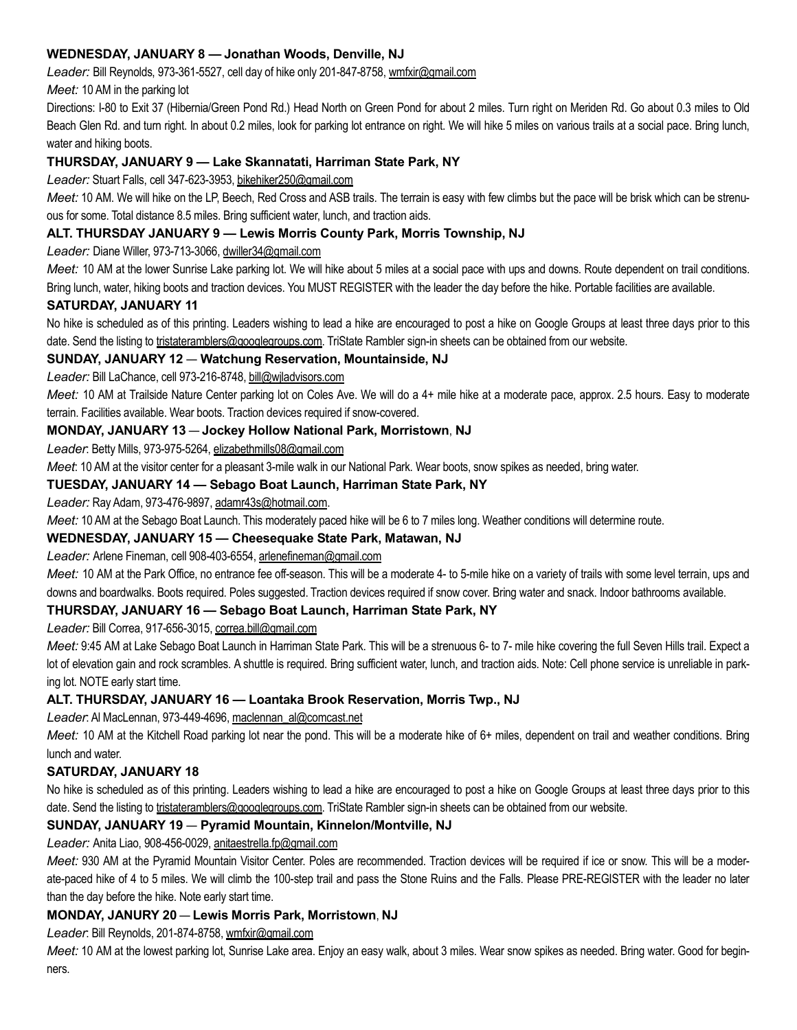## WEDNESDAY, JANUARY 8 — Jonathan Woods, Denville, NJ

Leader: Bill Reynolds, 973-361-5527, cell day of hike only 201-847-8758, wmfxir@gmail.com

Meet: 10 AM in the parking lot

Directions: I-80 to Exit 37 (Hibernia/Green Pond Rd.) Head North on Green Pond for about 2 miles. Turn right on Meriden Rd. Go about 0.3 miles to Old Beach Glen Rd. and turn right. In about 0.2 miles, look for parking lot entrance on right. We will hike 5 miles on various trails at a social pace. Bring lunch, water and hiking boots.

# THURSDAY, JANUARY 9 — Lake Skannatati, Harriman State Park, NY

Leader: Stuart Falls, cell 347-623-3953, bikehiker250@gmail.com

Meet: 10 AM. We will hike on the LP, Beech, Red Cross and ASB trails. The terrain is easy with few climbs but the pace will be brisk which can be strenuous for some. Total distance 8.5 miles. Bring sufficient water, lunch, and traction aids.

## ALT. THURSDAY JANUARY 9 — Lewis Morris County Park, Morris Township, NJ

Leader: Diane Willer, 973-713-3066, dwiller34@gmail.com

Meet: 10 AM at the lower Sunrise Lake parking lot. We will hike about 5 miles at a social pace with ups and downs. Route dependent on trail conditions. Bring lunch, water, hiking boots and traction devices. You MUST REGISTER with the leader the day before the hike. Portable facilities are available.

## SATURDAY, JANUARY 11

No hike is scheduled as of this printing. Leaders wishing to lead a hike are encouraged to post a hike on Google Groups at least three days prior to this date. Send the listing to tristateramblers@googlegroups.com. TriState Rambler sign-in sheets can be obtained from our website.

## SUNDAY, JANUARY 12 — Watchung Reservation, Mountainside, NJ

Leader: Bill LaChance, cell 973-216-8748, bill@wiladvisors.com

Meet: 10 AM at Trailside Nature Center parking lot on Coles Ave. We will do a 4+ mile hike at a moderate pace, approx. 2.5 hours. Easy to moderate terrain. Facilities available. Wear boots. Traction devices required if snow-covered.

## MONDAY, JANUARY 13 — Jockey Hollow National Park, Morristown, NJ

Leader: Betty Mills, 973-975-5264, elizabethmills08@gmail.com

Meet: 10 AM at the visitor center for a pleasant 3-mile walk in our National Park. Wear boots, snow spikes as needed, bring water.

## TUESDAY, JANUARY 14 — Sebago Boat Launch, Harriman State Park, NY

Leader: Ray Adam, 973-476-9897, adamr43s@hotmail.com.

Meet: 10 AM at the Sebago Boat Launch. This moderately paced hike will be 6 to 7 miles long. Weather conditions will determine route.

## WEDNESDAY, JANUARY 15 — Cheesequake State Park, Matawan, NJ

Leader: Arlene Fineman, cell 908-403-6554, arlenefineman@gmail.com

Meet: 10 AM at the Park Office, no entrance fee off-season. This will be a moderate 4- to 5-mile hike on a variety of trails with some level terrain, ups and downs and boardwalks. Boots required. Poles suggested. Traction devices required if snow cover. Bring water and snack. Indoor bathrooms available.

## THURSDAY, JANUARY 16 — Sebago Boat Launch, Harriman State Park, NY

Leader: Bill Correa, 917-656-3015, correa.bill@gmail.com

Meet: 9:45 AM at Lake Sebago Boat Launch in Harriman State Park. This will be a strenuous 6- to 7- mile hike covering the full Seven Hills trail. Expect a lot of elevation gain and rock scrambles. A shuttle is required. Bring sufficient water, lunch, and traction aids. Note: Cell phone service is unreliable in parking lot. NOTE early start time.

## ALT. THURSDAY, JANUARY 16 — Loantaka Brook Reservation, Morris Twp., NJ

Leader: Al MacLennan, 973-449-4696, maclennan\_al@comcast.net

Meet: 10 AM at the Kitchell Road parking lot near the pond. This will be a moderate hike of 6+ miles, dependent on trail and weather conditions. Bring lunch and water.

## SATURDAY, JANUARY 18

No hike is scheduled as of this printing. Leaders wishing to lead a hike are encouraged to post a hike on Google Groups at least three days prior to this date. Send the listing to tristateramblers@googlegroups.com. TriState Rambler sign-in sheets can be obtained from our website.

## SUNDAY, JANUARY 19 — Pyramid Mountain, Kinnelon/Montville, NJ

Leader: Anita Liao, 908-456-0029, anitaestrella.fp@gmail.com

Meet: 930 AM at the Pyramid Mountain Visitor Center. Poles are recommended. Traction devices will be required if ice or snow. This will be a moderate-paced hike of 4 to 5 miles. We will climb the 100-step trail and pass the Stone Ruins and the Falls. Please PRE-REGISTER with the leader no later than the day before the hike. Note early start time.

## MONDAY, JANURY 20 — Lewis Morris Park, Morristown, NJ

Leader: Bill Reynolds, 201-874-8758, wmfxir@gmail.com

Meet: 10 AM at the lowest parking lot, Sunrise Lake area. Enjoy an easy walk, about 3 miles. Wear snow spikes as needed. Bring water. Good for beginners.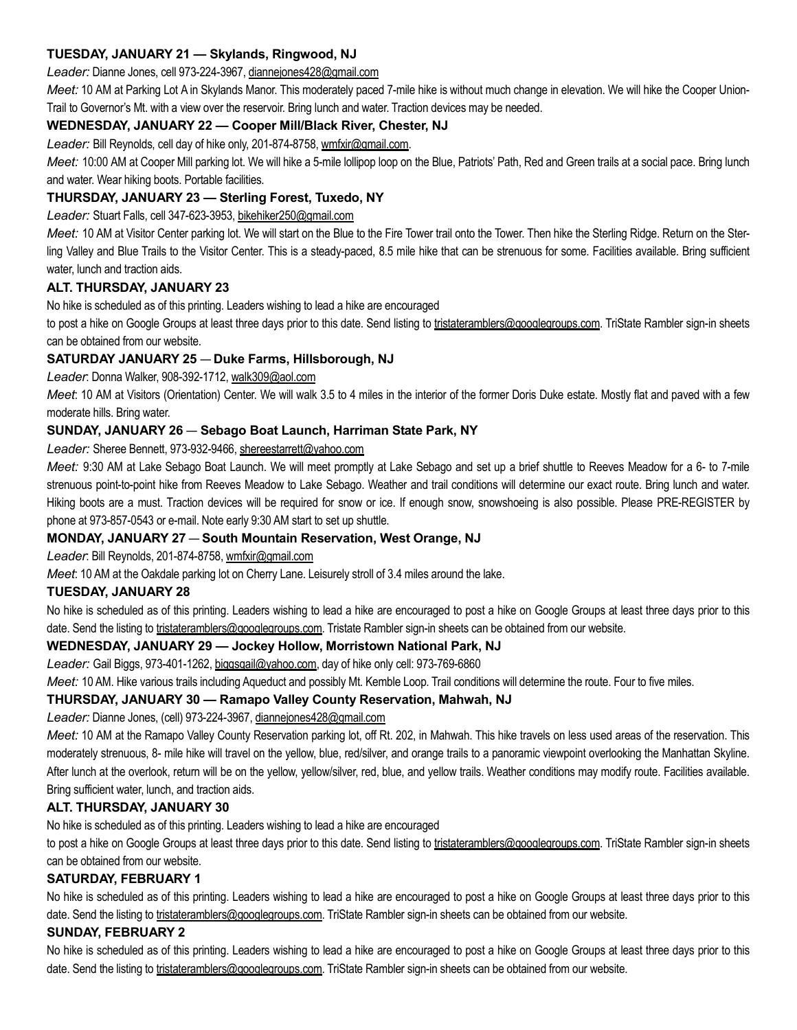# TUESDAY, JANUARY 21 — Skylands, Ringwood, NJ

#### Leader: Dianne Jones, cell 973-224-3967, diannejones428@gmail.com

Meet: 10 AM at Parking Lot A in Skylands Manor. This moderately paced 7-mile hike is without much change in elevation. We will hike the Cooper Union-Trail to Governor's Mt. with a view over the reservoir. Bring lunch and water. Traction devices may be needed.

# WEDNESDAY, JANUARY 22 — Cooper Mill/Black River, Chester, NJ

Leader: Bill Reynolds, cell day of hike only, 201-874-8758, wmfxir@gmail.com.

Meet: 10:00 AM at Cooper Mill parking lot. We will hike a 5-mile lollipop loop on the Blue, Patriots' Path, Red and Green trails at a social pace. Bring lunch and water. Wear hiking boots. Portable facilities.

## THURSDAY, JANUARY 23 — Sterling Forest, Tuxedo, NY

Leader: Stuart Falls, cell 347-623-3953, bikehiker250@gmail.com

Meet: 10 AM at Visitor Center parking lot. We will start on the Blue to the Fire Tower trail onto the Tower. Then hike the Sterling Ridge. Return on the Sterling Valley and Blue Trails to the Visitor Center. This is a steady-paced, 8.5 mile hike that can be strenuous for some. Facilities available. Bring sufficient water, lunch and traction aids.

## ALT. THURSDAY, JANUARY 23

No hike is scheduled as of this printing. Leaders wishing to lead a hike are encouraged

to post a hike on Google Groups at least three days prior to this date. Send listing to tristateramblers@googlegroups.com. TriState Rambler sign-in sheets can be obtained from our website.

## SATURDAY JANUARY 25 — Duke Farms, Hillsborough, NJ

Leader: Donna Walker, 908-392-1712, walk309@aol.com

Meet: 10 AM at Visitors (Orientation) Center. We will walk 3.5 to 4 miles in the interior of the former Doris Duke estate. Mostly flat and paved with a few moderate hills. Bring water.

# SUNDAY, JANUARY 26 — Sebago Boat Launch, Harriman State Park, NY

## Leader: Sheree Bennett, 973-932-9466, shereestarrett@yahoo.com

Meet: 9:30 AM at Lake Sebago Boat Launch. We will meet promptly at Lake Sebago and set up a brief shuttle to Reeves Meadow for a 6- to 7-mile strenuous point-to-point hike from Reeves Meadow to Lake Sebago. Weather and trail conditions will determine our exact route. Bring lunch and water. Hiking boots are a must. Traction devices will be required for snow or ice. If enough snow, snowshoeing is also possible. Please PRE-REGISTER by phone at 973-857-0543 or e-mail. Note early 9:30 AM start to set up shuttle.

## MONDAY, JANUARY 27 — South Mountain Reservation, West Orange, NJ

Leader: Bill Reynolds, 201-874-8758, wmfxir@gmail.com

Meet: 10 AM at the Oakdale parking lot on Cherry Lane. Leisurely stroll of 3.4 miles around the lake.

## TUESDAY, JANUARY 28

No hike is scheduled as of this printing. Leaders wishing to lead a hike are encouraged to post a hike on Google Groups at least three days prior to this date. Send the listing to tristateramblers@googlegroups.com. Tristate Rambler sign-in sheets can be obtained from our website.

## WEDNESDAY, JANUARY 29 — Jockey Hollow, Morristown National Park, NJ

Leader: Gail Biggs, 973-401-1262, biggsgail@yahoo.com, day of hike only cell: 973-769-6860

Meet: 10 AM. Hike various trails including Aqueduct and possibly Mt. Kemble Loop. Trail conditions will determine the route. Four to five miles.

## THURSDAY, JANUARY 30 — Ramapo Valley County Reservation, Mahwah, NJ

Leader: Dianne Jones, (cell) 973-224-3967, diannejones428@gmail.com

Meet: 10 AM at the Ramapo Valley County Reservation parking lot, off Rt. 202, in Mahwah. This hike travels on less used areas of the reservation. This moderately strenuous, 8- mile hike will travel on the yellow, blue, red/silver, and orange trails to a panoramic viewpoint overlooking the Manhattan Skyline. After lunch at the overlook, return will be on the yellow, yellow/silver, red, blue, and yellow trails. Weather conditions may modify route. Facilities available. Bring sufficient water, lunch, and traction aids.

## ALT. THURSDAY, JANUARY 30

No hike is scheduled as of this printing. Leaders wishing to lead a hike are encouraged

to post a hike on Google Groups at least three days prior to this date. Send listing to tristateramblers@googlegroups.com. TriState Rambler sign-in sheets can be obtained from our website.

## SATURDAY, FEBRUARY 1

No hike is scheduled as of this printing. Leaders wishing to lead a hike are encouraged to post a hike on Google Groups at least three days prior to this date. Send the listing to tristateramblers@googlegroups.com. TriState Rambler sign-in sheets can be obtained from our website.

## SUNDAY, FEBRUARY 2

No hike is scheduled as of this printing. Leaders wishing to lead a hike are encouraged to post a hike on Google Groups at least three days prior to this date. Send the listing to tristateramblers@googlegroups.com. TriState Rambler sign-in sheets can be obtained from our website.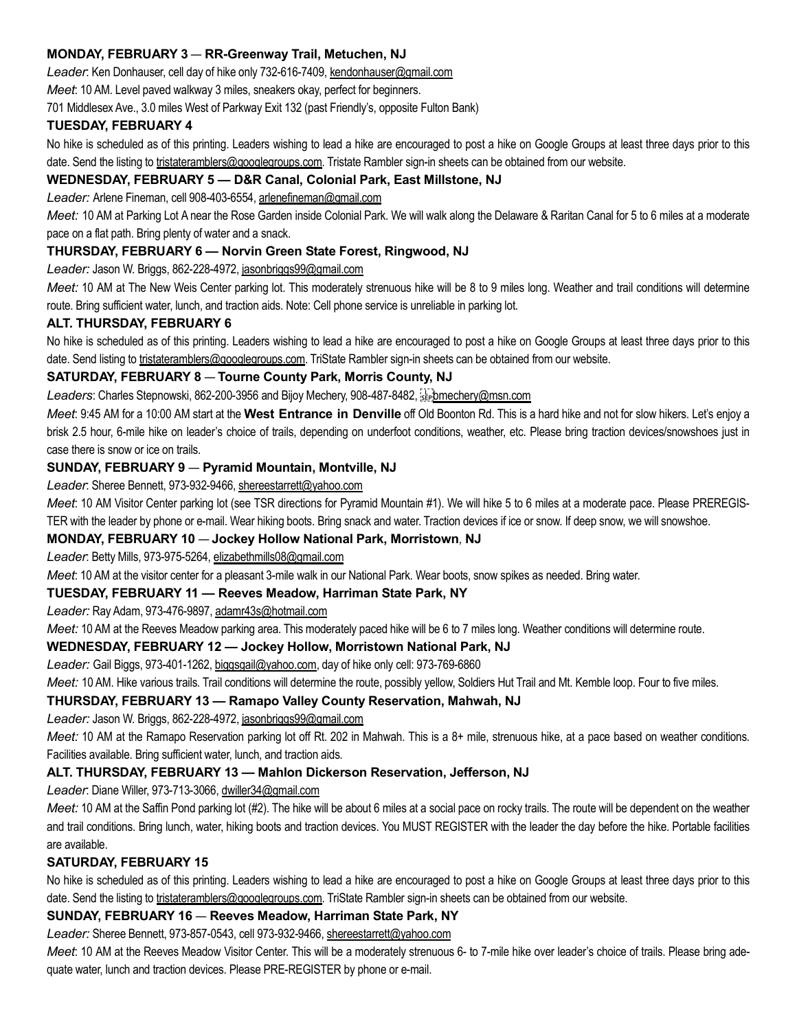# MONDAY, FEBRUARY 3 — RR-Greenway Trail, Metuchen, NJ

Leader: Ken Donhauser, cell day of hike only 732-616-7409, kendonhauser@gmail.com

Meet: 10 AM. Level paved walkway 3 miles, sneakers okay, perfect for beginners.

701 Middlesex Ave., 3.0 miles West of Parkway Exit 132 (past Friendly's, opposite Fulton Bank)

### TUESDAY, FEBRUARY 4

No hike is scheduled as of this printing. Leaders wishing to lead a hike are encouraged to post a hike on Google Groups at least three days prior to this date. Send the listing to tristateramblers@googlegroups.com. Tristate Rambler sign-in sheets can be obtained from our website.

# WEDNESDAY, FEBRUARY 5 — D&R Canal, Colonial Park, East Millstone, NJ

Leader: Arlene Fineman, cell 908-403-6554, arlenefineman@gmail.com

Meet: 10 AM at Parking Lot A near the Rose Garden inside Colonial Park. We will walk along the Delaware & Raritan Canal for 5 to 6 miles at a moderate pace on a flat path. Bring plenty of water and a snack.

# THURSDAY, FEBRUARY 6 — Norvin Green State Forest, Ringwood, NJ

Leader: Jason W. Briggs, 862-228-4972, jasonbriggs99@gmail.com

Meet: 10 AM at The New Weis Center parking lot. This moderately strenuous hike will be 8 to 9 miles long. Weather and trail conditions will determine route. Bring sufficient water, lunch, and traction aids. Note: Cell phone service is unreliable in parking lot.

## ALT. THURSDAY, FEBRUARY 6

No hike is scheduled as of this printing. Leaders wishing to lead a hike are encouraged to post a hike on Google Groups at least three days prior to this date. Send listing to tristateramblers@googlegroups.com. TriState Rambler sign-in sheets can be obtained from our website.

## SATURDAY, FEBRUARY 8 — Tourne County Park, Morris County, NJ

Leaders: Charles Stepnowski, 862-200-3956 and Bijoy Mechery, 908-487-8482, steppmechery@msn.com

Meet. 9:45 AM for a 10:00 AM start at the West Entrance in Denville off Old Boonton Rd. This is a hard hike and not for slow hikers. Let's enjoy a brisk 2.5 hour, 6-mile hike on leader's choice of trails, depending on underfoot conditions, weather, etc. Please bring traction devices/snowshoes just in case there is snow or ice on trails.

## SUNDAY, FEBRUARY 9 — Pyramid Mountain, Montville, NJ

Leader: Sheree Bennett, 973-932-9466, shereestarrett@yahoo.com

Meet: 10 AM Visitor Center parking lot (see TSR directions for Pyramid Mountain #1). We will hike 5 to 6 miles at a moderate pace. Please PREREGIS-TER with the leader by phone or e-mail. Wear hiking boots. Bring snack and water. Traction devices if ice or snow. If deep snow, we will snowshoe.

## MONDAY, FEBRUARY 10 — Jockey Hollow National Park, Morristown, NJ

Leader: Betty Mills, 973-975-5264, elizabethmills08@gmail.com

Meet: 10 AM at the visitor center for a pleasant 3-mile walk in our National Park. Wear boots, snow spikes as needed. Bring water.

## TUESDAY, FEBRUARY 11 — Reeves Meadow, Harriman State Park, NY

Leader: Ray Adam, 973-476-9897, adamr43s@hotmail.com

Meet: 10 AM at the Reeves Meadow parking area. This moderately paced hike will be 6 to 7 miles long. Weather conditions will determine route.

## WEDNESDAY, FEBRUARY 12 — Jockey Hollow, Morristown National Park, NJ

Leader: Gail Biggs, 973-401-1262, biggsgail@yahoo.com, day of hike only cell: 973-769-6860

Meet: 10 AM. Hike various trails. Trail conditions will determine the route, possibly yellow, Soldiers Hut Trail and Mt. Kemble loop. Four to five miles.

## THURSDAY, FEBRUARY 13 — Ramapo Valley County Reservation, Mahwah, NJ

Leader: Jason W. Briggs, 862-228-4972, jasonbriggs99@gmail.com

Meet: 10 AM at the Ramapo Reservation parking lot off Rt. 202 in Mahwah. This is a 8+ mile, strenuous hike, at a pace based on weather conditions. Facilities available. Bring sufficient water, lunch, and traction aids.

## ALT. THURSDAY, FEBRUARY 13 — Mahlon Dickerson Reservation, Jefferson, NJ

Leader: Diane Willer, 973-713-3066, dwiller34@gmail.com

Meet: 10 AM at the Saffin Pond parking lot (#2). The hike will be about 6 miles at a social pace on rocky trails. The route will be dependent on the weather and trail conditions. Bring lunch, water, hiking boots and traction devices. You MUST REGISTER with the leader the day before the hike. Portable facilities are available.

## SATURDAY, FEBRUARY 15

No hike is scheduled as of this printing. Leaders wishing to lead a hike are encouraged to post a hike on Google Groups at least three days prior to this date. Send the listing to tristateramblers@googlegroups.com. TriState Rambler sign-in sheets can be obtained from our website.

## SUNDAY, FEBRUARY 16 — Reeves Meadow, Harriman State Park, NY

Leader: Sheree Bennett, 973-857-0543, cell 973-932-9466, shereestarrett@yahoo.com

Meet. 10 AM at the Reeves Meadow Visitor Center. This will be a moderately strenuous 6- to 7-mile hike over leader's choice of trails. Please bring adequate water, lunch and traction devices. Please PRE-REGISTER by phone or e-mail.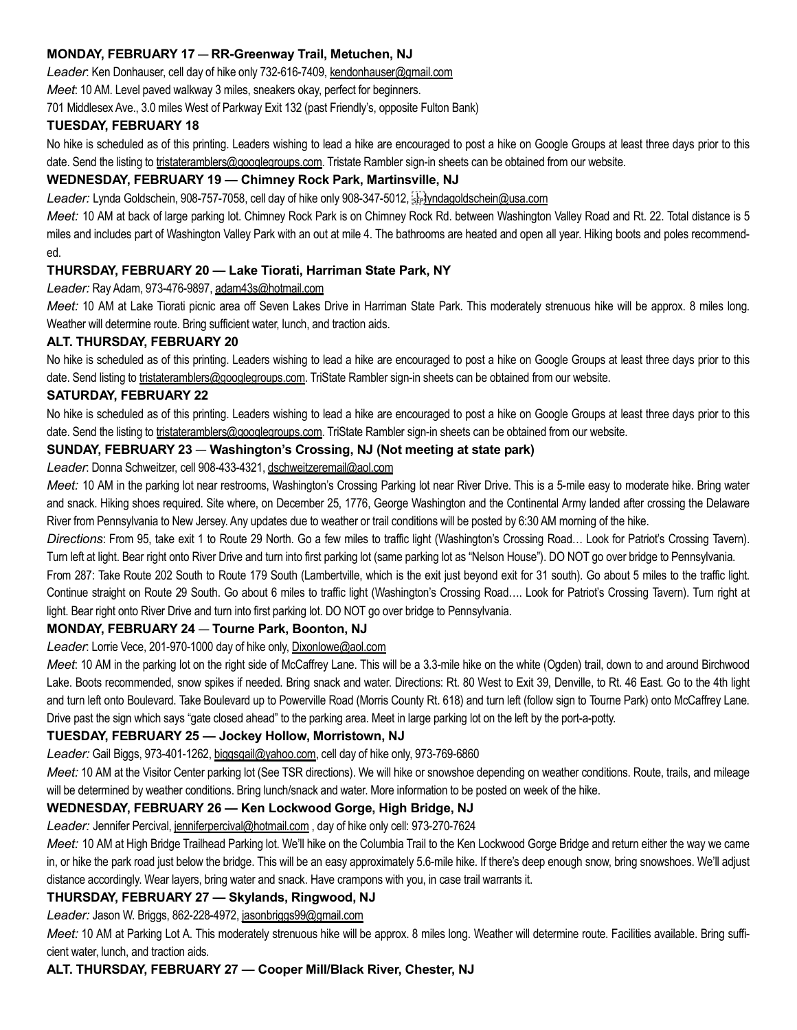## MONDAY, FEBRUARY 17 — RR-Greenway Trail, Metuchen, NJ

Leader: Ken Donhauser, cell day of hike only 732-616-7409, kendonhauser@gmail.com

Meet: 10 AM. Level paved walkway 3 miles, sneakers okay, perfect for beginners.

701 Middlesex Ave., 3.0 miles West of Parkway Exit 132 (past Friendly's, opposite Fulton Bank)

#### TUESDAY, FEBRUARY 18

No hike is scheduled as of this printing. Leaders wishing to lead a hike are encouraged to post a hike on Google Groups at least three days prior to this date. Send the listing to tristateramblers@googlegroups.com. Tristate Rambler sign-in sheets can be obtained from our website.

# WEDNESDAY, FEBRUARY 19 — Chimney Rock Park, Martinsville, NJ

Leader: Lynda Goldschein, 908-757-7058, cell day of hike only 908-347-5012,  $\frac{1}{2}$  / Mdagoldschein@usa.com

Meet: 10 AM at back of large parking lot. Chimney Rock Park is on Chimney Rock Rd. between Washington Valley Road and Rt. 22. Total distance is 5 miles and includes part of Washington Valley Park with an out at mile 4. The bathrooms are heated and open all year. Hiking boots and poles recommended.

# THURSDAY, FEBRUARY 20 — Lake Tiorati, Harriman State Park, NY

Leader: Ray Adam, 973-476-9897, adam43s@hotmail.com

Meet: 10 AM at Lake Tiorati picnic area off Seven Lakes Drive in Harriman State Park. This moderately strenuous hike will be approx. 8 miles long. Weather will determine route. Bring sufficient water, lunch, and traction aids.

## ALT. THURSDAY, FEBRUARY 20

No hike is scheduled as of this printing. Leaders wishing to lead a hike are encouraged to post a hike on Google Groups at least three days prior to this date. Send listing to tristateramblers@googlegroups.com. TriState Rambler sign-in sheets can be obtained from our website.

#### SATURDAY, FEBRUARY 22

No hike is scheduled as of this printing. Leaders wishing to lead a hike are encouraged to post a hike on Google Groups at least three days prior to this date. Send the listing to tristateramblers@googlegroups.com. TriState Rambler sign-in sheets can be obtained from our website.

## SUNDAY, FEBRUARY 23 — Washington's Crossing, NJ (Not meeting at state park)

Leader: Donna Schweitzer, cell 908-433-4321, dschweitzeremail@aol.com

Meet: 10 AM in the parking lot near restrooms, Washington's Crossing Parking lot near River Drive. This is a 5-mile easy to moderate hike. Bring water and snack. Hiking shoes required. Site where, on December 25, 1776, George Washington and the Continental Army landed after crossing the Delaware River from Pennsylvania to New Jersey. Any updates due to weather or trail conditions will be posted by 6:30 AM morning of the hike.

Directions: From 95, take exit 1 to Route 29 North. Go a few miles to traffic light (Washington's Crossing Road… Look for Patriot's Crossing Tavern). Turn left at light. Bear right onto River Drive and turn into first parking lot (same parking lot as "Nelson House"). DO NOT go over bridge to Pennsylvania.

From 287: Take Route 202 South to Route 179 South (Lambertville, which is the exit just beyond exit for 31 south). Go about 5 miles to the traffic light. Continue straight on Route 29 South. Go about 6 miles to traffic light (Washington's Crossing Road…. Look for Patriot's Crossing Tavern). Turn right at light. Bear right onto River Drive and turn into first parking lot. DO NOT go over bridge to Pennsylvania.

## MONDAY, FEBRUARY 24 — Tourne Park, Boonton, NJ

Leader: Lorrie Vece, 201-970-1000 day of hike only, Dixonlowe@aol.com

Meet: 10 AM in the parking lot on the right side of McCaffrey Lane. This will be a 3.3-mile hike on the white (Ogden) trail, down to and around Birchwood Lake. Boots recommended, snow spikes if needed. Bring snack and water. Directions: Rt. 80 West to Exit 39, Denville, to Rt. 46 East. Go to the 4th light and turn left onto Boulevard. Take Boulevard up to Powerville Road (Morris County Rt. 618) and turn left (follow sign to Tourne Park) onto McCaffrey Lane. Drive past the sign which says "gate closed ahead" to the parking area. Meet in large parking lot on the left by the port-a-potty.

## TUESDAY, FEBRUARY 25 — Jockey Hollow, Morristown, NJ

Leader: Gail Biggs, 973-401-1262, biggsgail@yahoo.com, cell day of hike only, 973-769-6860

Meet: 10 AM at the Visitor Center parking lot (See TSR directions). We will hike or snowshoe depending on weather conditions. Route, trails, and mileage will be determined by weather conditions. Bring lunch/snack and water. More information to be posted on week of the hike.

## WEDNESDAY, FEBRUARY 26 — Ken Lockwood Gorge, High Bridge, NJ

Leader: Jennifer Percival, jenniferpercival@hotmail.com, day of hike only cell: 973-270-7624

Meet: 10 AM at High Bridge Trailhead Parking lot. We'll hike on the Columbia Trail to the Ken Lockwood Gorge Bridge and return either the way we came in, or hike the park road just below the bridge. This will be an easy approximately 5.6-mile hike. If there's deep enough snow, bring snowshoes. We'll adjust distance accordingly. Wear layers, bring water and snack. Have crampons with you, in case trail warrants it.

## THURSDAY, FEBRUARY 27 — Skylands, Ringwood, NJ

Leader: Jason W. Briggs, 862-228-4972, jasonbriggs99@gmail.com

Meet: 10 AM at Parking Lot A. This moderately strenuous hike will be approx. 8 miles long. Weather will determine route. Facilities available. Bring sufficient water, lunch, and traction aids.

## ALT. THURSDAY, FEBRUARY 27 — Cooper Mill/Black River, Chester, NJ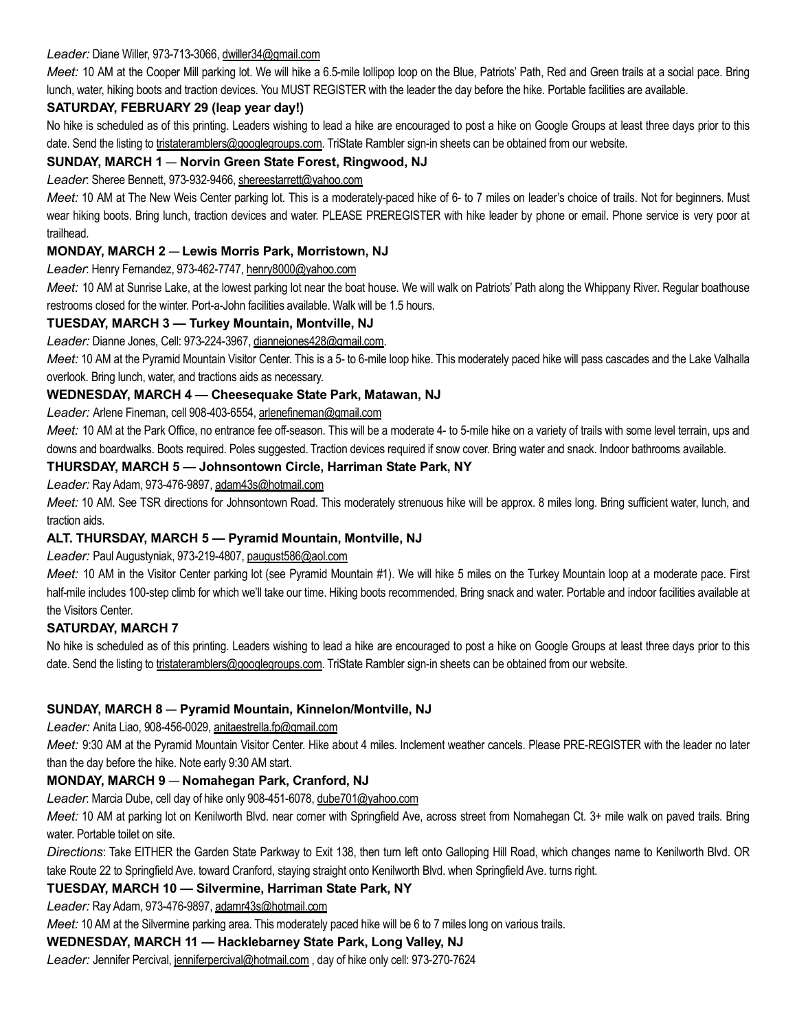## Leader: Diane Willer, 973-713-3066, dwiller34@gmail.com

Meet: 10 AM at the Cooper Mill parking lot. We will hike a 6.5-mile lollipop loop on the Blue, Patriots' Path, Red and Green trails at a social pace. Bring lunch, water, hiking boots and traction devices. You MUST REGISTER with the leader the day before the hike. Portable facilities are available.

# SATURDAY, FEBRUARY 29 (leap year day!)

No hike is scheduled as of this printing. Leaders wishing to lead a hike are encouraged to post a hike on Google Groups at least three days prior to this date. Send the listing to tristateramblers@googlegroups.com. TriState Rambler sign-in sheets can be obtained from our website.

# SUNDAY, MARCH 1 — Norvin Green State Forest, Ringwood, NJ

## Leader: Sheree Bennett, 973-932-9466, shereestarrett@yahoo.com

Meet: 10 AM at The New Weis Center parking lot. This is a moderately-paced hike of 6- to 7 miles on leader's choice of trails. Not for beginners. Must wear hiking boots. Bring lunch, traction devices and water. PLEASE PREREGISTER with hike leader by phone or email. Phone service is very poor at trailhead.

## MONDAY, MARCH 2 — Lewis Morris Park, Morristown, NJ

#### Leader: Henry Fernandez, 973-462-7747, henry8000@yahoo.com

Meet: 10 AM at Sunrise Lake, at the lowest parking lot near the boat house. We will walk on Patriots' Path along the Whippany River. Regular boathouse restrooms closed for the winter. Port-a-John facilities available. Walk will be 1.5 hours.

# TUESDAY, MARCH 3 — Turkey Mountain, Montville, NJ

Leader: Dianne Jones, Cell: 973-224-3967, diannejones428@gmail.com.

Meet: 10 AM at the Pyramid Mountain Visitor Center. This is a 5- to 6-mile loop hike. This moderately paced hike will pass cascades and the Lake Valhalla overlook. Bring lunch, water, and tractions aids as necessary.

## WEDNESDAY, MARCH 4 — Cheesequake State Park, Matawan, NJ

Leader: Arlene Fineman, cell 908-403-6554, arlenefineman@gmail.com

Meet: 10 AM at the Park Office, no entrance fee off-season. This will be a moderate 4- to 5-mile hike on a variety of trails with some level terrain, ups and downs and boardwalks. Boots required. Poles suggested. Traction devices required if snow cover. Bring water and snack. Indoor bathrooms available.

## THURSDAY, MARCH 5 — Johnsontown Circle, Harriman State Park, NY

Leader: Ray Adam, 973-476-9897, adam43s@hotmail.com

Meet: 10 AM. See TSR directions for Johnsontown Road. This moderately strenuous hike will be approx. 8 miles long. Bring sufficient water, lunch, and traction aids.

## ALT. THURSDAY, MARCH 5 — Pyramid Mountain, Montville, NJ

Leader: Paul Augustyniak, 973-219-4807, paugust586@aol.com

Meet: 10 AM in the Visitor Center parking lot (see Pyramid Mountain #1). We will hike 5 miles on the Turkey Mountain loop at a moderate pace. First half-mile includes 100-step climb for which we'll take our time. Hiking boots recommended. Bring snack and water. Portable and indoor facilities available at the Visitors Center.

## SATURDAY, MARCH 7

No hike is scheduled as of this printing. Leaders wishing to lead a hike are encouraged to post a hike on Google Groups at least three days prior to this date. Send the listing to tristateramblers@googlegroups.com. TriState Rambler sign-in sheets can be obtained from our website.

## SUNDAY, MARCH 8 — Pyramid Mountain, Kinnelon/Montville, NJ

Leader: Anita Liao, 908-456-0029, anitaestrella.fp@gmail.com

Meet: 9:30 AM at the Pyramid Mountain Visitor Center. Hike about 4 miles. Inclement weather cancels. Please PRE-REGISTER with the leader no later than the day before the hike. Note early 9:30 AM start.

# MONDAY, MARCH 9 — Nomahegan Park, Cranford, NJ

Leader: Marcia Dube, cell day of hike only 908-451-6078, dube701@yahoo.com

Meet: 10 AM at parking lot on Kenilworth Blvd. near comer with Springfield Ave, across street from Nomahegan Ct. 3+ mile walk on paved trails. Bring water. Portable toilet on site.

Directions: Take EITHER the Garden State Parkway to Exit 138, then turn left onto Galloping Hill Road, which changes name to Kenilworth Blvd. OR take Route 22 to Springfield Ave. toward Cranford, staying straight onto Kenilworth Blvd. when Springfield Ave. turns right.

# TUESDAY, MARCH 10 — Silvermine, Harriman State Park, NY

Leader: Ray Adam, 973-476-9897, adamr43s@hotmail.com

Meet: 10 AM at the Silvermine parking area. This moderately paced hike will be 6 to 7 miles long on various trails.

## WEDNESDAY, MARCH 11 — Hacklebarney State Park, Long Valley, NJ

Leader: Jennifer Percival, jenniferpercival@hotmail.com, day of hike only cell: 973-270-7624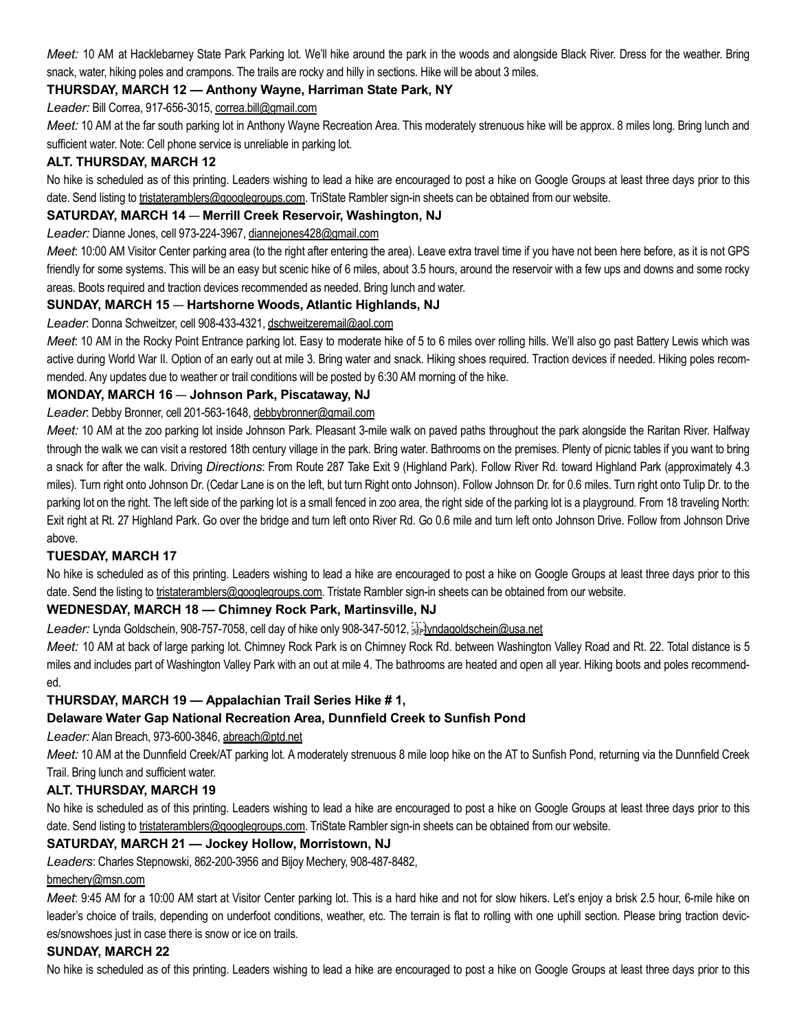Meet: 10 AM at Hacklebarney State Park Parking lot. We'll hike around the park in the woods and alongside Black River. Dress for the weather. Bring snack, water, hiking poles and crampons. The trails are rocky and hilly in sections. Hike will be about 3 miles.

# THURSDAY, MARCH 12 — Anthony Wayne, Harriman State Park, NY

Leader: Bill Correa, 917-656-3015, correa.bill@gmail.com

Meet: 10 AM at the far south parking lot in Anthony Wayne Recreation Area. This moderately strenuous hike will be approx. 8 miles long. Bring lunch and sufficient water. Note: Cell phone service is unreliable in parking lot.

#### ALT. THURSDAY, MARCH 12

No hike is scheduled as of this printing. Leaders wishing to lead a hike are encouraged to post a hike on Google Groups at least three days prior to this date. Send listing to tristateramblers@googlegroups.com. TriState Rambler sign-in sheets can be obtained from our website.

#### SATURDAY, MARCH 14 — Merrill Creek Reservoir, Washington, NJ

Leader: Dianne Jones, cell 973-224-3967, diannejones428@gmail.com

Meet: 10:00 AM Visitor Center parking area (to the right after entering the area). Leave extra travel time if you have not been here before, as it is not GPS friendly for some systems. This will be an easy but scenic hike of 6 miles, about 3.5 hours, around the reservoir with a few ups and downs and some rocky areas. Boots required and traction devices recommended as needed. Bring lunch and water.

#### SUNDAY, MARCH 15 — Hartshorne Woods, Atlantic Highlands, NJ

#### Leader: Donna Schweitzer, cell 908-433-4321, dschweitzeremail@aol.com

Meet: 10 AM in the Rocky Point Entrance parking lot. Easy to moderate hike of 5 to 6 miles over rolling hills. We'll also go past Battery Lewis which was active during World War II. Option of an early out at mile 3. Bring water and snack. Hiking shoes required. Traction devices if needed. Hiking poles recommended. Any updates due to weather or trail conditions will be posted by 6:30 AM morning of the hike.

## MONDAY, MARCH 16 — Johnson Park, Piscataway, NJ

#### Leader: Debby Bronner, cell 201-563-1648, debbybronner@gmail.com

Meet: 10 AM at the zoo parking lot inside Johnson Park. Pleasant 3-mile walk on paved paths throughout the park alongside the Raritan River. Halfway through the walk we can visit a restored 18th century village in the park. Bring water. Bathrooms on the premises. Plenty of picnic tables if you want to bring a snack for after the walk. Driving Directions: From Route 287 Take Exit 9 (Highland Park). Follow River Rd. toward Highland Park (approximately 4.3 miles). Turn right onto Johnson Dr. (Cedar Lane is on the left, but turn Right onto Johnson). Follow Johnson Dr. for 0.6 miles. Turn right onto Tulip Dr. to the parking lot on the right. The left side of the parking lot is a small fenced in zoo area, the right side of the parking lot is a playground. From 18 traveling North: Exit right at Rt. 27 Highland Park. Go over the bridge and turn left onto River Rd. Go 0.6 mile and turn left onto Johnson Drive. Follow from Johnson Drive above.

## TUESDAY, MARCH 17

No hike is scheduled as of this printing. Leaders wishing to lead a hike are encouraged to post a hike on Google Groups at least three days prior to this date. Send the listing to tristateramblers@googlegroups.com. Tristate Rambler sign-in sheets can be obtained from our website.

## WEDNESDAY, MARCH 18 — Chimney Rock Park, Martinsville, NJ

Leader: Lynda Goldschein, 908-757-7058, cell day of hike only 908-347-5012, seplyndagoldschein@usa.net

Meet: 10 AM at back of large parking lot. Chimney Rock Park is on Chimney Rock Rd. between Washington Valley Road and Rt. 22. Total distance is 5 miles and includes part of Washington Valley Park with an out at mile 4. The bathrooms are heated and open all year. Hiking boots and poles recommended.

## THURSDAY, MARCH 19 — Appalachian Trail Series Hike # 1,

## Delaware Water Gap National Recreation Area, Dunnfield Creek to Sunfish Pond

Leader: Alan Breach, 973-600-3846, abreach@ptd.net

Meet: 10 AM at the Dunnfield Creek/AT parking lot. A moderately strenuous 8 mile loop hike on the AT to Sunfish Pond, returning via the Dunnfield Creek Trail. Bring lunch and sufficient water.

## ALT. THURSDAY, MARCH 19

No hike is scheduled as of this printing. Leaders wishing to lead a hike are encouraged to post a hike on Google Groups at least three days prior to this date. Send listing to tristateramblers@googlegroups.com. TriState Rambler sign-in sheets can be obtained from our website.

## SATURDAY, MARCH 21 — Jockey Hollow, Morristown, NJ

Leaders: Charles Stepnowski, 862-200-3956 and Bijoy Mechery, 908-487-8482,

#### bmechery@msn.com

Meet: 9:45 AM for a 10:00 AM start at Visitor Center parking lot. This is a hard hike and not for slow hikers. Let's enjoy a brisk 2.5 hour, 6-mile hike on leader's choice of trails, depending on underfoot conditions, weather, etc. The terrain is flat to rolling with one uphill section. Please bring traction devices/snowshoes just in case there is snow or ice on trails.

## SUNDAY, MARCH 22

No hike is scheduled as of this printing. Leaders wishing to lead a hike are encouraged to post a hike on Google Groups at least three days prior to this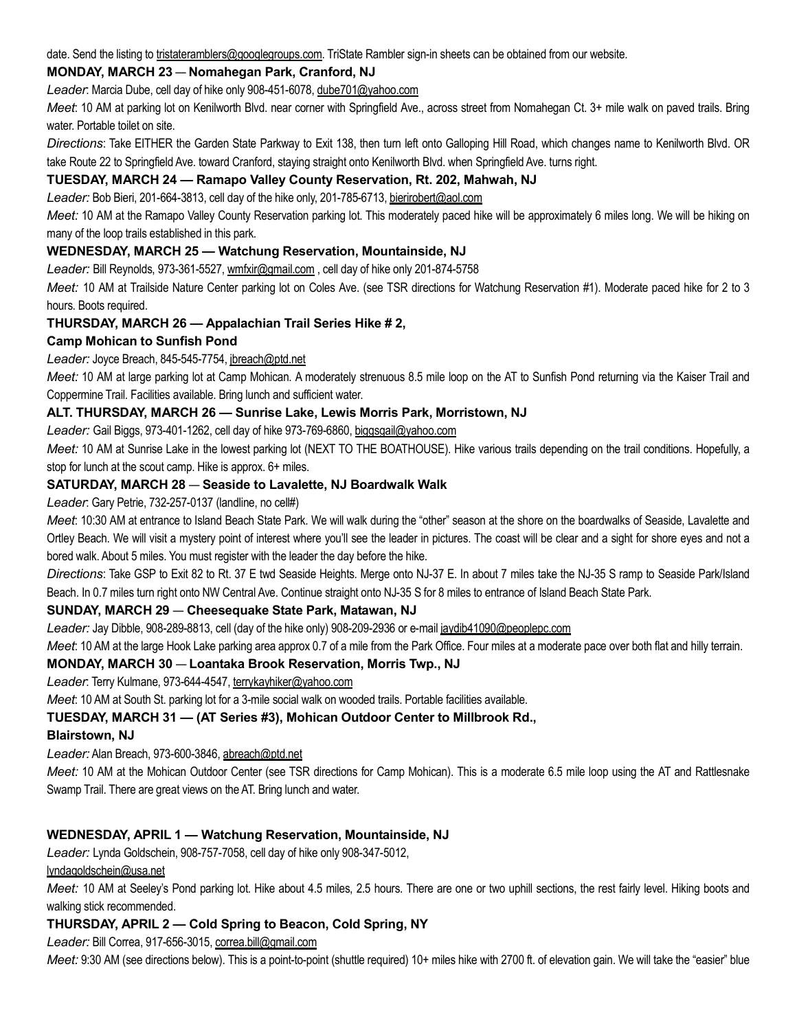date. Send the listing to tristateramblers@googlegroups.com. TriState Rambler sign-in sheets can be obtained from our website.

## MONDAY, MARCH 23 — Nomahegan Park, Cranford, NJ

Leader: Marcia Dube, cell day of hike only 908-451-6078, dube701@yahoo.com

Meet: 10 AM at parking lot on Kenilworth Blvd. near corner with Springfield Ave., across street from Nomahegan Ct. 3+ mile walk on paved trails. Bring water. Portable toilet on site.

Directions: Take EITHER the Garden State Parkway to Exit 138, then turn left onto Galloping Hill Road, which changes name to Kenilworth Blvd. OR take Route 22 to Springfield Ave. toward Cranford, staying straight onto Kenilworth Blvd. when Springfield Ave. turns right.

# TUESDAY, MARCH 24 — Ramapo Valley County Reservation, Rt. 202, Mahwah, NJ

Leader: Bob Bieri, 201-664-3813, cell day of the hike only, 201-785-6713, bierirobert@aol.com

Meet: 10 AM at the Ramapo Valley County Reservation parking lot. This moderately paced hike will be approximately 6 miles long. We will be hiking on many of the loop trails established in this park.

## WEDNESDAY, MARCH 25 — Watchung Reservation, Mountainside, NJ

Leader: Bill Reynolds, 973-361-5527, wmfxir@gmail.com, cell day of hike only 201-874-5758

Meet: 10 AM at Trailside Nature Center parking lot on Coles Ave. (see TSR directions for Watchung Reservation #1). Moderate paced hike for 2 to 3 hours. Boots required.

## THURSDAY, MARCH 26 — Appalachian Trail Series Hike # 2,

Camp Mohican to Sunfish Pond

#### Leader: Joyce Breach, 845-545-7754, jbreach@ptd.net

Meet: 10 AM at large parking lot at Camp Mohican. A moderately strenuous 8.5 mile loop on the AT to Sunfish Pond returning via the Kaiser Trail and Coppermine Trail. Facilities available. Bring lunch and sufficient water.

#### ALT. THURSDAY, MARCH 26 — Sunrise Lake, Lewis Morris Park, Morristown, NJ

Leader: Gail Biggs, 973-401-1262, cell day of hike 973-769-6860, biggsgail@yahoo.com

Meet: 10 AM at Sunrise Lake in the lowest parking lot (NEXT TO THE BOATHOUSE). Hike various trails depending on the trail conditions. Hopefully, a stop for lunch at the scout camp. Hike is approx. 6+ miles.

## SATURDAY, MARCH 28 — Seaside to Lavalette, NJ Boardwalk Walk

Leader: Gary Petrie, 732-257-0137 (landline, no cell#)

Meet: 10:30 AM at entrance to Island Beach State Park. We will walk during the "other" season at the shore on the boardwalks of Seaside, Lavalette and Ortley Beach. We will visit a mystery point of interest where you'll see the leader in pictures. The coast will be clear and a sight for shore eyes and not a bored walk. About 5 miles. You must register with the leader the day before the hike.

Directions: Take GSP to Exit 82 to Rt. 37 E twd Seaside Heights. Merge onto NJ-37 E. In about 7 miles take the NJ-35 S ramp to Seaside Park/Island Beach. In 0.7 miles turn right onto NW Central Ave. Continue straight onto NJ-35 S for 8 miles to entrance of Island Beach State Park.

## SUNDAY, MARCH 29 — Cheesequake State Park, Matawan, NJ

Leader: Jay Dibble, 908-289-8813, cell (day of the hike only) 908-209-2936 or e-mail jaydib41090@peoplepc.com

Meet: 10 AM at the large Hook Lake parking area approx 0.7 of a mile from the Park Office. Four miles at a moderate pace over both flat and hilly terrain.

## MONDAY, MARCH 30 — Loantaka Brook Reservation, Morris Twp., NJ

Leader: Terry Kulmane, 973-644-4547, terrykayhiker@yahoo.com

Meet: 10 AM at South St. parking lot for a 3-mile social walk on wooded trails. Portable facilities available.

TUESDAY, MARCH 31 — (AT Series #3), Mohican Outdoor Center to Millbrook Rd.,

## Blairstown, NJ

Leader: Alan Breach, 973-600-3846, abreach@ptd.net

Meet: 10 AM at the Mohican Outdoor Center (see TSR directions for Camp Mohican). This is a moderate 6.5 mile loop using the AT and Rattlesnake Swamp Trail. There are great views on the AT. Bring lunch and water.

## WEDNESDAY, APRIL 1 — Watchung Reservation, Mountainside, NJ

Leader: Lynda Goldschein, 908-757-7058, cell day of hike only 908-347-5012,

lyndagoldschein@usa.net

Meet: 10 AM at Seeley's Pond parking lot. Hike about 4.5 miles, 2.5 hours. There are one or two uphill sections, the rest fairly level. Hiking boots and walking stick recommended.

## THURSDAY, APRIL 2 — Cold Spring to Beacon, Cold Spring, NY

## Leader: Bill Correa, 917-656-3015, correa.bill@gmail.com

Meet: 9:30 AM (see directions below). This is a point-to-point (shuttle required) 10+ miles hike with 2700 ft. of elevation gain. We will take the "easier" blue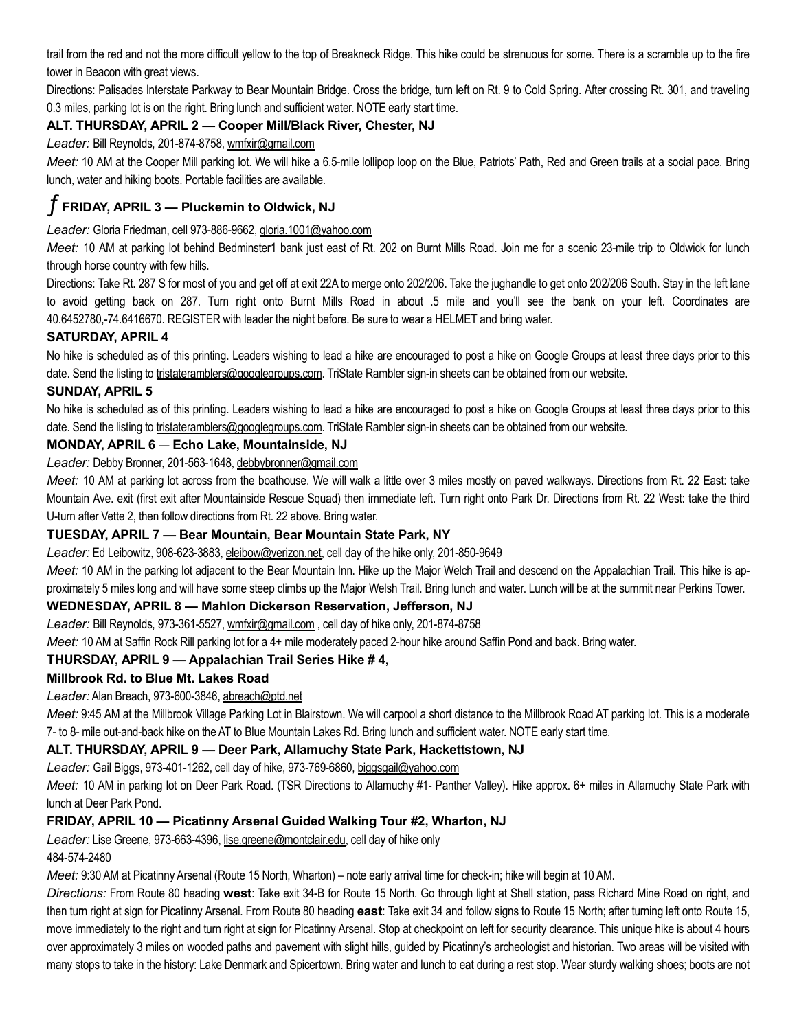trail from the red and not the more difficult yellow to the top of Breakneck Ridge. This hike could be strenuous for some. There is a scramble up to the fire tower in Beacon with great views.

Directions: Palisades Interstate Parkway to Bear Mountain Bridge. Cross the bridge, turn left on Rt. 9 to Cold Spring. After crossing Rt. 301, and traveling 0.3 miles, parking lot is on the right. Bring lunch and sufficient water. NOTE early start time.

# ALT. THURSDAY, APRIL 2 — Cooper Mill/Black River, Chester, NJ

Leader: Bill Reynolds, 201-874-8758, wmfxir@gmail.com

Meet: 10 AM at the Cooper Mill parking lot. We will hike a 6.5-mile lollipop loop on the Blue, Patriots' Path, Red and Green trails at a social pace. Bring lunch, water and hiking boots. Portable facilities are available.

# $\overline{f}$  FRIDAY, APRIL 3 — Pluckemin to Oldwick, NJ

Leader: Gloria Friedman, cell 973-886-9662, gloria.1001@yahoo.com

Meet: 10 AM at parking lot behind Bedminster1 bank just east of Rt. 202 on Burnt Mills Road. Join me for a scenic 23-mile trip to Oldwick for lunch through horse country with few hills.

Directions: Take Rt. 287 S for most of you and get off at exit 22A to merge onto 202/206. Take the jughandle to get onto 202/206 South. Stay in the left lane to avoid getting back on 287. Turn right onto Burnt Mills Road in about .5 mile and you'll see the bank on your left. Coordinates are 40.6452780,-74.6416670. REGISTER with leader the night before. Be sure to wear a HELMET and bring water.

# SATURDAY, APRIL 4

No hike is scheduled as of this printing. Leaders wishing to lead a hike are encouraged to post a hike on Google Groups at least three days prior to this date. Send the listing to tristateramblers@googlegroups.com. TriState Rambler sign-in sheets can be obtained from our website.

# SUNDAY, APRIL 5

No hike is scheduled as of this printing. Leaders wishing to lead a hike are encouraged to post a hike on Google Groups at least three days prior to this date. Send the listing to tristateramblers@googlegroups.com. TriState Rambler sign-in sheets can be obtained from our website.

# MONDAY, APRIL 6 — Echo Lake, Mountainside, NJ

Leader: Debby Bronner, 201-563-1648, debbybronner@gmail.com

Meet: 10 AM at parking lot across from the boathouse. We will walk a little over 3 miles mostly on paved walkways. Directions from Rt. 22 East: take Mountain Ave. exit (first exit after Mountainside Rescue Squad) then immediate left. Turn right onto Park Dr. Directions from Rt. 22 West: take the third U-turn after Vette 2, then follow directions from Rt. 22 above. Bring water.

# TUESDAY, APRIL 7 — Bear Mountain, Bear Mountain State Park, NY

Leader: Ed Leibowitz, 908-623-3883, eleibow@verizon.net, cell day of the hike only, 201-850-9649

Meet: 10 AM in the parking lot adjacent to the Bear Mountain Inn. Hike up the Major Welch Trail and descend on the Appalachian Trail. This hike is approximately 5 miles long and will have some steep climbs up the Major Welsh Trail. Bring lunch and water. Lunch will be at the summit near Perkins Tower.

# WEDNESDAY, APRIL 8 — Mahlon Dickerson Reservation, Jefferson, NJ

Leader: Bill Reynolds, 973-361-5527, wmfxir@gmail.com , cell day of hike only, 201-874-8758

Meet: 10 AM at Saffin Rock Rill parking lot for a 4+ mile moderately paced 2-hour hike around Saffin Pond and back. Bring water.

# THURSDAY, APRIL 9 — Appalachian Trail Series Hike # 4,

## Millbrook Rd. to Blue Mt. Lakes Road

Leader: Alan Breach, 973-600-3846, abreach@ptd.net

Meet: 9:45 AM at the Millbrook Village Parking Lot in Blairstown. We will carpool a short distance to the Millbrook Road AT parking lot. This is a moderate 7- to 8- mile out-and-back hike on the AT to Blue Mountain Lakes Rd. Bring lunch and sufficient water. NOTE early start time.

## ALT. THURSDAY, APRIL 9 — Deer Park, Allamuchy State Park, Hackettstown, NJ

Leader: Gail Biggs, 973-401-1262, cell day of hike, 973-769-6860, biggsgail@yahoo.com

Meet: 10 AM in parking lot on Deer Park Road. (TSR Directions to Allamuchy #1- Panther Valley). Hike approx. 6+ miles in Allamuchy State Park with lunch at Deer Park Pond.

# FRIDAY, APRIL 10 — Picatinny Arsenal Guided Walking Tour #2, Wharton, NJ

Leader: Lise Greene, 973-663-4396, lise.greene@montclair.edu, cell day of hike only

484-574-2480

Meet: 9:30 AM at Picatinny Arsenal (Route 15 North, Wharton) – note early arrival time for check-in; hike will begin at 10 AM.

Directions: From Route 80 heading west: Take exit 34-B for Route 15 North. Go through light at Shell station, pass Richard Mine Road on right, and then turn right at sign for Picatinny Arsenal. From Route 80 heading east: Take exit 34 and follow signs to Route 15 North; after turning left onto Route 15, move immediately to the right and turn right at sign for Picatinny Arsenal. Stop at checkpoint on left for security clearance. This unique hike is about 4 hours over approximately 3 miles on wooded paths and pavement with slight hills, guided by Picatinny's archeologist and historian. Two areas will be visited with many stops to take in the history: Lake Denmark and Spicertown. Bring water and lunch to eat during a rest stop. Wear sturdy walking shoes; boots are not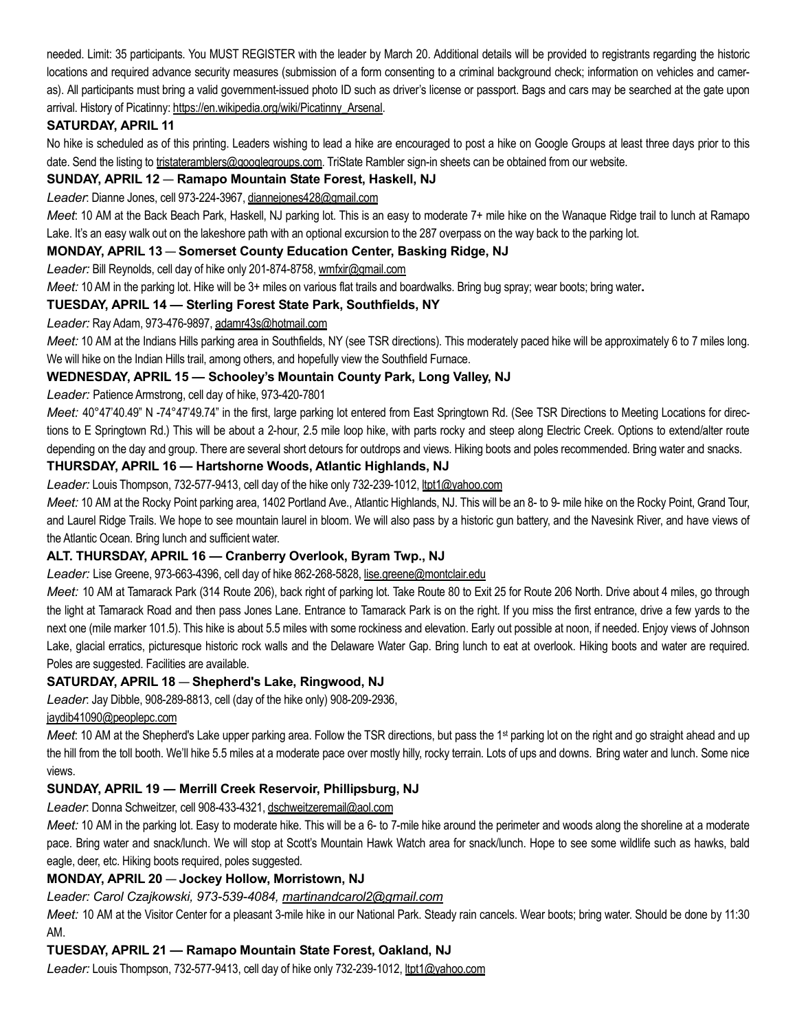needed. Limit: 35 participants. You MUST REGISTER with the leader by March 20. Additional details will be provided to registrants regarding the historic locations and required advance security measures (submission of a form consenting to a criminal background check; information on vehicles and cameras). All participants must bring a valid government-issued photo ID such as driver's license or passport. Bags and cars may be searched at the gate upon arrival. History of Picatinny: https://en.wikipedia.org/wiki/Picatinny\_Arsenal.

# SATURDAY, APRIL 11

No hike is scheduled as of this printing. Leaders wishing to lead a hike are encouraged to post a hike on Google Groups at least three days prior to this date. Send the listing to tristateramblers@googlegroups.com. TriState Rambler sign-in sheets can be obtained from our website.

## SUNDAY, APRIL 12 — Ramapo Mountain State Forest, Haskell, NJ

Leader: Dianne Jones, cell 973-224-3967, diannejones428@gmail.com

Meet: 10 AM at the Back Beach Park, Haskell, NJ parking lot. This is an easy to moderate 7+ mile hike on the Wanaque Ridge trail to lunch at Ramapo Lake. It's an easy walk out on the lakeshore path with an optional excursion to the 287 overpass on the way back to the parking lot.

## MONDAY, APRIL 13 — Somerset County Education Center, Basking Ridge, NJ

## Leader: Bill Reynolds, cell day of hike only 201-874-8758, wmfxir@gmail.com

Meet: 10 AM in the parking lot. Hike will be 3+ miles on various flat trails and boardwalks. Bring bug spray; wear boots; bring water.

## TUESDAY, APRIL 14 — Sterling Forest State Park, Southfields, NY

## Leader: Ray Adam, 973-476-9897, adamr43s@hotmail.com

Meet: 10 AM at the Indians Hills parking area in Southfields, NY (see TSR directions). This moderately paced hike will be approximately 6 to 7 miles long. We will hike on the Indian Hills trail, among others, and hopefully view the Southfield Furnace.

## WEDNESDAY, APRIL 15 — Schooley's Mountain County Park, Long Valley, NJ

## Leader: Patience Armstrong, cell day of hike, 973-420-7801

Meet: 40°47'40.49" N -74°47'49.74" in the first, large parking lot entered from East Springtown Rd. (See TSR Directions to Meeting Locations for directions to E Springtown Rd.) This will be about a 2-hour, 2.5 mile loop hike, with parts rocky and steep along Electric Creek. Options to extend/alter route depending on the day and group. There are several short detours for outdrops and views. Hiking boots and poles recommended. Bring water and snacks.

## THURSDAY, APRIL 16 — Hartshorne Woods, Atlantic Highlands, NJ

Leader: Louis Thompson, 732-577-9413, cell day of the hike only 732-239-1012, ltpt1@yahoo.com

Meet: 10 AM at the Rocky Point parking area, 1402 Portland Ave., Atlantic Highlands, NJ. This will be an 8- to 9- mile hike on the Rocky Point, Grand Tour, and Laurel Ridge Trails. We hope to see mountain laurel in bloom. We will also pass by a historic gun battery, and the Navesink River, and have views of the Atlantic Ocean. Bring lunch and sufficient water.

## ALT. THURSDAY, APRIL 16 — Cranberry Overlook, Byram Twp., NJ

Leader: Lise Greene, 973-663-4396, cell day of hike 862-268-5828, lise.greene@montclair.edu

Meet: 10 AM at Tamarack Park (314 Route 206), back right of parking lot. Take Route 80 to Exit 25 for Route 206 North. Drive about 4 miles, go through the light at Tamarack Road and then pass Jones Lane. Entrance to Tamarack Park is on the right. If you miss the first entrance, drive a few yards to the next one (mile marker 101.5). This hike is about 5.5 miles with some rockiness and elevation. Early out possible at noon, if needed. Enjoy views of Johnson Lake, glacial erratics, picturesque historic rock walls and the Delaware Water Gap. Bring lunch to eat at overlook. Hiking boots and water are required. Poles are suggested. Facilities are available.

## SATURDAY, APRIL 18 — Shepherd's Lake, Ringwood, NJ

Leader: Jay Dibble, 908-289-8813, cell (day of the hike only) 908-209-2936,

jaydib41090@peoplepc.com

Meet: 10 AM at the Shepherd's Lake upper parking area. Follow the TSR directions, but pass the 1<sup>st</sup> parking lot on the right and go straight ahead and up the hill from the toll booth. We'll hike 5.5 miles at a moderate pace over mostly hilly, rocky terrain. Lots of ups and downs. Bring water and lunch. Some nice views.

# SUNDAY, APRIL 19 ― Merrill Creek Reservoir, Phillipsburg, NJ

Leader: Donna Schweitzer, cell 908-433-4321, dschweitzeremail@aol.com

Meet: 10 AM in the parking lot. Easy to moderate hike. This will be a 6- to 7-mile hike around the perimeter and woods along the shoreline at a moderate pace. Bring water and snack/lunch. We will stop at Scott's Mountain Hawk Watch area for snack/lunch. Hope to see some wildlife such as hawks, bald eagle, deer, etc. Hiking boots required, poles suggested.

## MONDAY, APRIL 20 — Jockey Hollow, Morristown, NJ

## Leader: Carol Czajkowski, 973-539-4084, martinandcarol2@gmail.com

Meet: 10 AM at the Visitor Center for a pleasant 3-mile hike in our National Park. Steady rain cancels. Wear boots; bring water. Should be done by 11:30 AM.

# TUESDAY, APRIL 21 — Ramapo Mountain State Forest, Oakland, NJ

Leader: Louis Thompson, 732-577-9413, cell day of hike only 732-239-1012, ltpt1@yahoo.com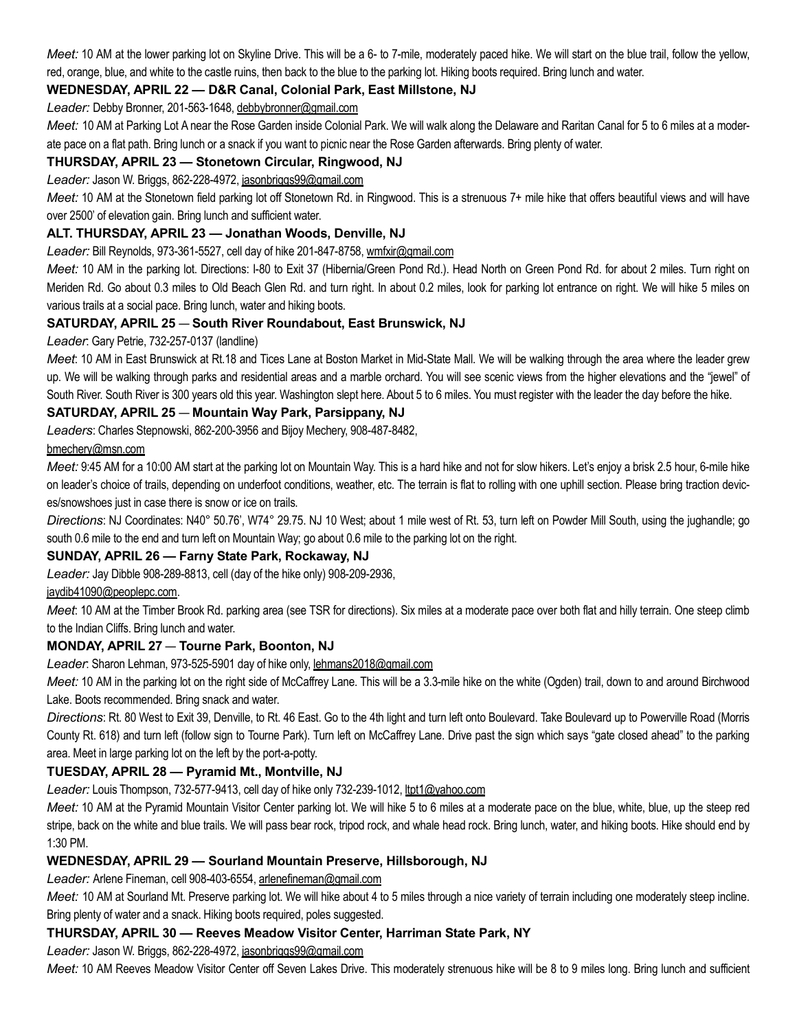Meet: 10 AM at the lower parking lot on Skyline Drive. This will be a 6- to 7-mile, moderately paced hike. We will start on the blue trail, follow the yellow, red, orange, blue, and white to the castle ruins, then back to the blue to the parking lot. Hiking boots required. Bring lunch and water.

# WEDNESDAY, APRIL 22 — D&R Canal, Colonial Park, East Millstone, NJ

Leader: Debby Bronner, 201-563-1648, debbybronner@gmail.com

Meet: 10 AM at Parking Lot A near the Rose Garden inside Colonial Park. We will walk along the Delaware and Raritan Canal for 5 to 6 miles at a moderate pace on a flat path. Bring lunch or a snack if you want to picnic near the Rose Garden afterwards. Bring plenty of water.

## THURSDAY, APRIL 23 — Stonetown Circular, Ringwood, NJ

#### Leader: Jason W. Briggs, 862-228-4972, jasonbriggs99@gmail.com

Meet: 10 AM at the Stonetown field parking lot off Stonetown Rd. in Ringwood. This is a strenuous 7+ mile hike that offers beautiful views and will have over 2500' of elevation gain. Bring lunch and sufficient water.

## ALT. THURSDAY, APRIL 23 — Jonathan Woods, Denville, NJ

#### Leader: Bill Reynolds, 973-361-5527, cell day of hike 201-847-8758, wmfxir@gmail.com

Meet: 10 AM in the parking lot. Directions: I-80 to Exit 37 (Hibernia/Green Pond Rd.). Head North on Green Pond Rd. for about 2 miles. Turn right on Meriden Rd. Go about 0.3 miles to Old Beach Glen Rd. and turn right. In about 0.2 miles, look for parking lot entrance on right. We will hike 5 miles on various trails at a social pace. Bring lunch, water and hiking boots.

## SATURDAY, APRIL 25 — South River Roundabout, East Brunswick, NJ

#### Leader: Gary Petrie, 732-257-0137 (landline)

Meet. 10 AM in East Brunswick at Rt.18 and Tices Lane at Boston Market in Mid-State Mall. We will be walking through the area where the leader grew up. We will be walking through parks and residential areas and a marble orchard. You will see scenic views from the higher elevations and the "jewel" of South River. South River is 300 years old this year. Washington slept here. About 5 to 6 miles. You must register with the leader the day before the hike.

## SATURDAY, APRIL 25 — Mountain Way Park, Parsippany, NJ

Leaders: Charles Stepnowski, 862-200-3956 and Bijoy Mechery, 908-487-8482,

#### bmechery@msn.com

Meet: 9:45 AM for a 10:00 AM start at the parking lot on Mountain Way. This is a hard hike and not for slow hikers. Let's enjoy a brisk 2.5 hour, 6-mile hike on leader's choice of trails, depending on underfoot conditions, weather, etc. The terrain is flat to rolling with one uphill section. Please bring traction devices/snowshoes just in case there is snow or ice on trails.

Directions: NJ Coordinates: N40° 50.76', W74° 29.75. NJ 10 West; about 1 mile west of Rt. 53, turn left on Powder Mill South, using the jughandle; go south 0.6 mile to the end and turn left on Mountain Way; go about 0.6 mile to the parking lot on the right.

## SUNDAY, APRIL 26 — Farny State Park, Rockaway, NJ

Leader: Jay Dibble 908-289-8813, cell (day of the hike only) 908-209-2936,

## jaydib41090@peoplepc.com.

Meet: 10 AM at the Timber Brook Rd. parking area (see TSR for directions). Six miles at a moderate pace over both flat and hilly terrain. One steep climb to the Indian Cliffs. Bring lunch and water.

## MONDAY, APRIL 27 — Tourne Park, Boonton, NJ

Leader: Sharon Lehman, 973-525-5901 day of hike only, lehmans2018@gmail.com

Meet: 10 AM in the parking lot on the right side of McCaffrey Lane. This will be a 3.3-mile hike on the white (Ogden) trail, down to and around Birchwood Lake. Boots recommended. Bring snack and water.

Directions: Rt. 80 West to Exit 39, Denville, to Rt. 46 East. Go to the 4th light and turn left onto Boulevard. Take Boulevard up to Powerville Road (Morris County Rt. 618) and turn left (follow sign to Tourne Park). Turn left on McCaffrey Lane. Drive past the sign which says "gate closed ahead" to the parking area. Meet in large parking lot on the left by the port-a-potty.

## TUESDAY, APRIL 28 — Pyramid Mt., Montville, NJ

## Leader: Louis Thompson, 732-577-9413, cell day of hike only 732-239-1012, ltpt1@yahoo.com

Meet: 10 AM at the Pyramid Mountain Visitor Center parking lot. We will hike 5 to 6 miles at a moderate pace on the blue, white, blue, up the steep red stripe, back on the white and blue trails. We will pass bear rock, tripod rock, and whale head rock. Bring lunch, water, and hiking boots. Hike should end by 1:30 PM.

## WEDNESDAY, APRIL 29 — Sourland Mountain Preserve, Hillsborough, NJ

Leader: Arlene Fineman, cell 908-403-6554, arlenefineman@gmail.com

Meet: 10 AM at Sourland Mt. Preserve parking lot. We will hike about 4 to 5 miles through a nice variety of terrain including one moderately steep incline. Bring plenty of water and a snack. Hiking boots required, poles suggested.

## THURSDAY, APRIL 30 — Reeves Meadow Visitor Center, Harriman State Park, NY

Leader: Jason W. Briggs, 862-228-4972, jasonbriggs99@gmail.com

Meet: 10 AM Reeves Meadow Visitor Center off Seven Lakes Drive. This moderately strenuous hike will be 8 to 9 miles long. Bring lunch and sufficient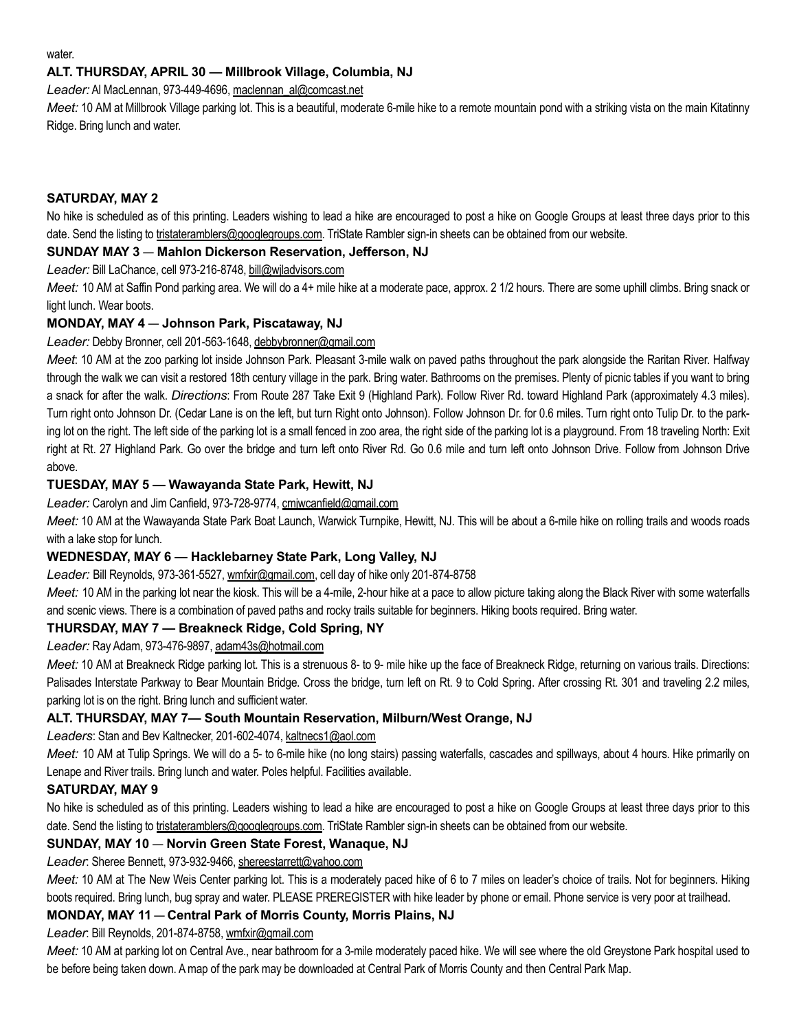water.

## ALT. THURSDAY, APRIL 30 — Millbrook Village, Columbia, NJ

Leader: Al MacLennan, 973-449-4696, maclennan\_al@comcast.net

Meet: 10 AM at Millbrook Village parking lot. This is a beautiful, moderate 6-mile hike to a remote mountain pond with a striking vista on the main Kitatinny Ridge. Bring lunch and water.

## SATURDAY, MAY 2

No hike is scheduled as of this printing. Leaders wishing to lead a hike are encouraged to post a hike on Google Groups at least three days prior to this date. Send the listing to tristateramblers@googlegroups.com. TriState Rambler sign-in sheets can be obtained from our website.

#### SUNDAY MAY 3 — Mahlon Dickerson Reservation, Jefferson, NJ

Leader: Bill LaChance, cell 973-216-8748, bill@wjladvisors.com

Meet: 10 AM at Saffin Pond parking area. We will do a 4+ mile hike at a moderate pace, approx. 2 1/2 hours. There are some uphill climbs. Bring snack or light lunch. Wear boots.

## MONDAY, MAY 4 — Johnson Park, Piscataway, NJ

#### Leader: Debby Bronner, cell 201-563-1648, debbybronner@gmail.com

Meet. 10 AM at the zoo parking lot inside Johnson Park. Pleasant 3-mile walk on paved paths throughout the park alongside the Raritan River. Halfway through the walk we can visit a restored 18th century village in the park. Bring water. Bathrooms on the premises. Plenty of picnic tables if you want to bring a snack for after the walk. Directions: From Route 287 Take Exit 9 (Highland Park). Follow River Rd. toward Highland Park (approximately 4.3 miles). Turn right onto Johnson Dr. (Cedar Lane is on the left, but turn Right onto Johnson). Follow Johnson Dr. for 0.6 miles. Turn right onto Tulip Dr. to the parking lot on the right. The left side of the parking lot is a small fenced in zoo area, the right side of the parking lot is a playground. From 18 traveling North: Exit right at Rt. 27 Highland Park. Go over the bridge and turn left onto River Rd. Go 0.6 mile and turn left onto Johnson Drive. Follow from Johnson Drive above.

## TUESDAY, MAY 5 — Wawayanda State Park, Hewitt, NJ

Leader: Carolyn and Jim Canfield, 973-728-9774, cmjwcanfield@gmail.com

Meet: 10 AM at the Wawayanda State Park Boat Launch, Warwick Turnpike, Hewitt, NJ. This will be about a 6-mile hike on rolling trails and woods roads with a lake stop for lunch.

## WEDNESDAY, MAY 6 — Hacklebarney State Park, Long Valley, NJ

Leader: Bill Reynolds, 973-361-5527, wmfxir@gmail.com, cell day of hike only 201-874-8758

Meet: 10 AM in the parking lot near the kiosk. This will be a 4-mile, 2-hour hike at a pace to allow picture taking along the Black River with some waterfalls and scenic views. There is a combination of paved paths and rocky trails suitable for beginners. Hiking boots required. Bring water.

## THURSDAY, MAY 7 — Breakneck Ridge, Cold Spring, NY

Leader: Ray Adam, 973-476-9897, adam43s@hotmail.com

Meet: 10 AM at Breakneck Ridge parking lot. This is a strenuous 8- to 9- mile hike up the face of Breakneck Ridge, returning on various trails. Directions: Palisades Interstate Parkway to Bear Mountain Bridge. Cross the bridge, turn left on Rt. 9 to Cold Spring. After crossing Rt. 301 and traveling 2.2 miles, parking lot is on the right. Bring lunch and sufficient water.

## ALT. THURSDAY, MAY 7— South Mountain Reservation, Milburn/West Orange, NJ

Leaders: Stan and Bev Kaltnecker, 201-602-4074, kaltnecs1@aol.com

Meet: 10 AM at Tulip Springs. We will do a 5- to 6-mile hike (no long stairs) passing waterfalls, cascades and spillways, about 4 hours. Hike primarily on Lenape and River trails. Bring lunch and water. Poles helpful. Facilities available.

## SATURDAY, MAY 9

No hike is scheduled as of this printing. Leaders wishing to lead a hike are encouraged to post a hike on Google Groups at least three days prior to this date. Send the listing to tristateramblers@googlegroups.com. TriState Rambler sign-in sheets can be obtained from our website.

## SUNDAY, MAY 10 — Norvin Green State Forest, Wanaque, NJ

Leader: Sheree Bennett, 973-932-9466, shereestarrett@yahoo.com

Meet: 10 AM at The New Weis Center parking lot. This is a moderately paced hike of 6 to 7 miles on leader's choice of trails. Not for beginners. Hiking boots required. Bring lunch, bug spray and water. PLEASE PREREGISTER with hike leader by phone or email. Phone service is very poor at trailhead.

## MONDAY, MAY 11 — Central Park of Morris County, Morris Plains, NJ

Leader: Bill Reynolds, 201-874-8758, wmfxir@gmail.com

Meet: 10 AM at parking lot on Central Ave., near bathroom for a 3-mile moderately paced hike. We will see where the old Greystone Park hospital used to be before being taken down. A map of the park may be downloaded at Central Park of Morris County and then Central Park Map.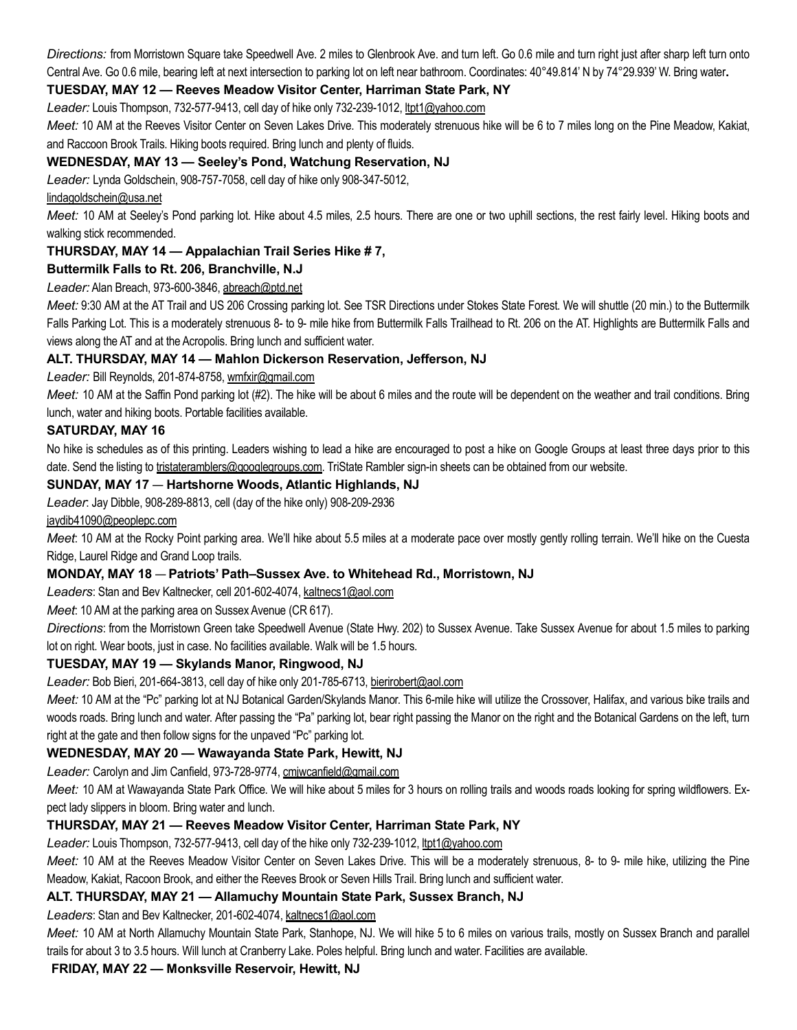Directions: from Morristown Square take Speedwell Ave. 2 miles to Glenbrook Ave. and turn left. Go 0.6 mile and turn right just after sharp left turn onto Central Ave. Go 0.6 mile, bearing left at next intersection to parking lot on left near bathroom. Coordinates: 40°49.814' N by 74°29.939' W. Bring water.

# TUESDAY, MAY 12 — Reeves Meadow Visitor Center, Harriman State Park, NY

Leader: Louis Thompson, 732-577-9413, cell day of hike only 732-239-1012, ltpt1@yahoo.com

Meet: 10 AM at the Reeves Visitor Center on Seven Lakes Drive. This moderately strenuous hike will be 6 to 7 miles long on the Pine Meadow, Kakiat, and Raccoon Brook Trails. Hiking boots required. Bring lunch and plenty of fluids.

## WEDNESDAY, MAY 13 — Seeley's Pond, Watchung Reservation, NJ

Leader: Lynda Goldschein, 908-757-7058, cell day of hike only 908-347-5012,

#### lindagoldschein@usa.net

Meet: 10 AM at Seeley's Pond parking lot. Hike about 4.5 miles, 2.5 hours. There are one or two uphill sections, the rest fairly level. Hiking boots and walking stick recommended.

## THURSDAY, MAY 14 — Appalachian Trail Series Hike # 7,

## Buttermilk Falls to Rt. 206, Branchville, N.J

#### Leader: Alan Breach, 973-600-3846, abreach@ptd.net

Meet: 9:30 AM at the AT Trail and US 206 Crossing parking lot. See TSR Directions under Stokes State Forest. We will shuttle (20 min.) to the Buttermilk Falls Parking Lot. This is a moderately strenuous 8- to 9- mile hike from Buttermilk Falls Trailhead to Rt. 206 on the AT. Highlights are Buttermilk Falls and views along the AT and at the Acropolis. Bring lunch and sufficient water.

#### ALT. THURSDAY, MAY 14 — Mahlon Dickerson Reservation, Jefferson, NJ

Leader: Bill Reynolds, 201-874-8758, wmfxir@gmail.com

Meet: 10 AM at the Saffin Pond parking lot (#2). The hike will be about 6 miles and the route will be dependent on the weather and trail conditions. Bring lunch, water and hiking boots. Portable facilities available.

#### SATURDAY, MAY 16

No hike is schedules as of this printing. Leaders wishing to lead a hike are encouraged to post a hike on Google Groups at least three days prior to this date. Send the listing to tristateramblers@googlegroups.com. TriState Rambler sign-in sheets can be obtained from our website.

## SUNDAY, MAY 17 — Hartshorne Woods, Atlantic Highlands, NJ

Leader: Jay Dibble, 908-289-8813, cell (day of the hike only) 908-209-2936

#### jaydib41090@peoplepc.com

Meet: 10 AM at the Rocky Point parking area. We'll hike about 5.5 miles at a moderate pace over mostly gently rolling terrain. We'll hike on the Cuesta Ridge, Laurel Ridge and Grand Loop trails.

## MONDAY, MAY 18 — Patriots' Path–Sussex Ave. to Whitehead Rd., Morristown, NJ

Leaders: Stan and Bev Kaltnecker, cell 201-602-4074, kaltnecs1@aol.com

Meet: 10 AM at the parking area on Sussex Avenue (CR 617).

Directions: from the Morristown Green take Speedwell Avenue (State Hwy. 202) to Sussex Avenue. Take Sussex Avenue for about 1.5 miles to parking lot on right. Wear boots, just in case. No facilities available. Walk will be 1.5 hours.

## TUESDAY, MAY 19 — Skylands Manor, Ringwood, NJ

Leader: Bob Bieri, 201-664-3813, cell day of hike only 201-785-6713, bierirobert@aol.com

Meet: 10 AM at the "Pc" parking lot at NJ Botanical Garden/Skylands Manor. This 6-mile hike will utilize the Crossover, Halifax, and various bike trails and woods roads. Bring lunch and water. After passing the "Pa" parking lot, bear right passing the Manor on the right and the Botanical Gardens on the left, turn right at the gate and then follow signs for the unpaved "Pc" parking lot.

## WEDNESDAY, MAY 20 — Wawayanda State Park, Hewitt, NJ

## Leader: Carolyn and Jim Canfield, 973-728-9774, cmiwcanfield@gmail.com

Meet: 10 AM at Wawayanda State Park Office. We will hike about 5 miles for 3 hours on rolling trails and woods roads looking for spring wildflowers. Expect lady slippers in bloom. Bring water and lunch.

## THURSDAY, MAY 21 — Reeves Meadow Visitor Center, Harriman State Park, NY

Leader: Louis Thompson, 732-577-9413, cell day of the hike only 732-239-1012, ltpt1@yahoo.com

Meet: 10 AM at the Reeves Meadow Visitor Center on Seven Lakes Drive. This will be a moderately strenuous, 8- to 9- mile hike, utilizing the Pine Meadow, Kakiat, Racoon Brook, and either the Reeves Brook or Seven Hills Trail. Bring lunch and sufficient water.

## ALT. THURSDAY, MAY 21 — Allamuchy Mountain State Park, Sussex Branch, NJ

Leaders: Stan and Bev Kaltnecker, 201-602-4074, kaltnecs1@aol.com

Meet: 10 AM at North Allamuchy Mountain State Park, Stanhope, NJ. We will hike 5 to 6 miles on various trails, mostly on Sussex Branch and parallel trails for about 3 to 3.5 hours. Will lunch at Cranberry Lake. Poles helpful. Bring lunch and water. Facilities are available.

#### FRIDAY, MAY 22 — Monksville Reservoir, Hewitt, NJ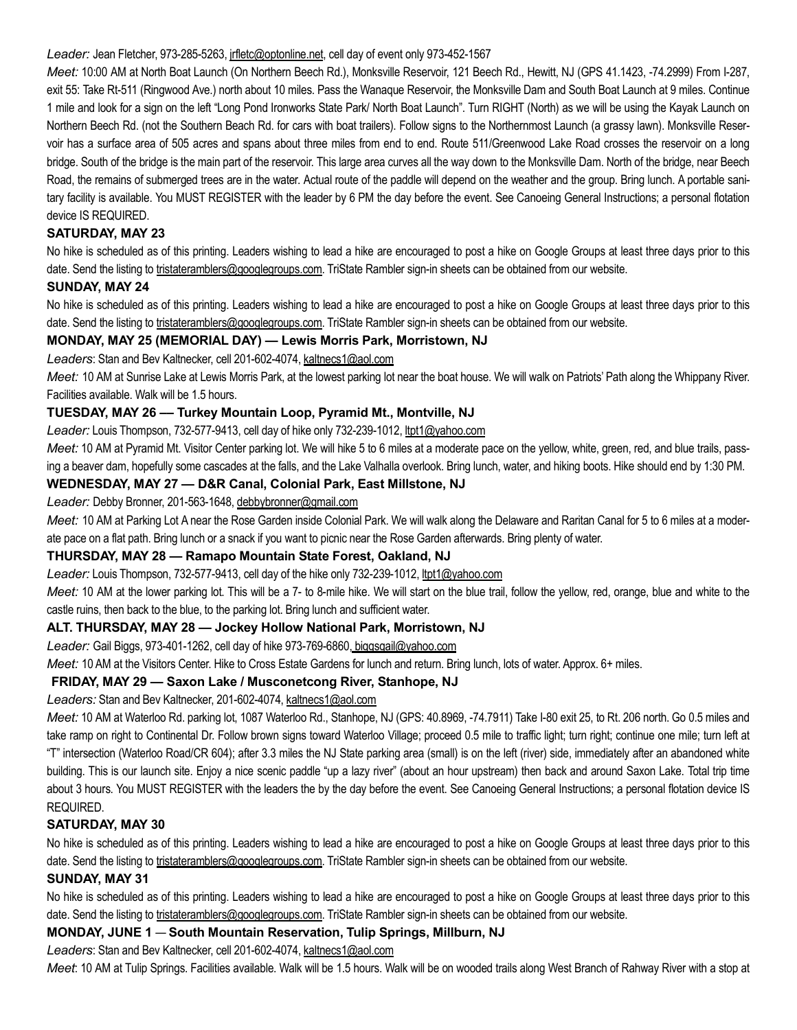#### Leader: Jean Fletcher, 973-285-5263, jrfletc@optonline.net, cell day of event only 973-452-1567

Meet: 10:00 AM at North Boat Launch (On Northern Beech Rd.), Monksville Reservoir, 121 Beech Rd., Hewitt, NJ (GPS 41.1423, -74.2999) From I-287, exit 55: Take Rt-511 (Ringwood Ave.) north about 10 miles. Pass the Wanaque Reservoir, the Monksville Dam and South Boat Launch at 9 miles. Continue 1 mile and look for a sign on the left "Long Pond Ironworks State Park/ North Boat Launch". Turn RIGHT (North) as we will be using the Kayak Launch on Northern Beech Rd. (not the Southern Beach Rd. for cars with boat trailers). Follow signs to the Northernmost Launch (a grassy lawn). Monksville Reservoir has a surface area of 505 acres and spans about three miles from end to end. Route 511/Greenwood Lake Road crosses the reservoir on a long bridge. South of the bridge is the main part of the reservoir. This large area curves all the way down to the Monksville Dam. North of the bridge, near Beech Road, the remains of submerged trees are in the water. Actual route of the paddle will depend on the weather and the group. Bring lunch. A portable sanitary facility is available. You MUST REGISTER with the leader by 6 PM the day before the event. See Canoeing General Instructions; a personal flotation device IS REQUIRED.

## SATURDAY, MAY 23

No hike is scheduled as of this printing. Leaders wishing to lead a hike are encouraged to post a hike on Google Groups at least three days prior to this date. Send the listing to tristateramblers@googlegroups.com. TriState Rambler sign-in sheets can be obtained from our website.

## SUNDAY, MAY 24

No hike is scheduled as of this printing. Leaders wishing to lead a hike are encouraged to post a hike on Google Groups at least three days prior to this date. Send the listing to tristateramblers@googlegroups.com. TriState Rambler sign-in sheets can be obtained from our website.

## MONDAY, MAY 25 (MEMORIAL DAY) — Lewis Morris Park, Morristown, NJ

#### Leaders: Stan and Bev Kaltnecker, cell 201-602-4074, kaltnecs1@aol.com

Meet: 10 AM at Sunrise Lake at Lewis Morris Park, at the lowest parking lot near the boat house. We will walk on Patriots' Path along the Whippany River. Facilities available. Walk will be 1.5 hours.

#### TUESDAY, MAY 26 –– Turkey Mountain Loop, Pyramid Mt., Montville, NJ

Leader: Louis Thompson, 732-577-9413, cell day of hike only 732-239-1012, ltpt1@yahoo.com

Meet: 10 AM at Pyramid Mt. Visitor Center parking lot. We will hike 5 to 6 miles at a moderate pace on the yellow, white, green, red, and blue trails, passing a beaver dam, hopefully some cascades at the falls, and the Lake Valhalla overlook. Bring lunch, water, and hiking boots. Hike should end by 1:30 PM.

#### WEDNESDAY, MAY 27 — D&R Canal, Colonial Park, East Millstone, NJ

#### Leader: Debby Bronner, 201-563-1648, debbybronner@gmail.com

Meet: 10 AM at Parking Lot A near the Rose Garden inside Colonial Park. We will walk along the Delaware and Raritan Canal for 5 to 6 miles at a moderate pace on a flat path. Bring lunch or a snack if you want to picnic near the Rose Garden afterwards. Bring plenty of water.

## THURSDAY, MAY 28 — Ramapo Mountain State Forest, Oakland, NJ

Leader: Louis Thompson, 732-577-9413, cell day of the hike only 732-239-1012, ltpt1@yahoo.com

Meet: 10 AM at the lower parking lot. This will be a 7- to 8-mile hike. We will start on the blue trail, follow the yellow, red, orange, blue and white to the castle ruins, then back to the blue, to the parking lot. Bring lunch and sufficient water.

#### ALT. THURSDAY, MAY 28 — Jockey Hollow National Park, Morristown, NJ

Leader: Gail Biggs, 973-401-1262, cell day of hike 973-769-6860, biggsgail@yahoo.com

Meet: 10 AM at the Visitors Center. Hike to Cross Estate Gardens for lunch and return. Bring lunch, lots of water. Approx. 6+ miles.

## FRIDAY, MAY 29 — Saxon Lake / Musconetcong River, Stanhope, NJ

Leaders: Stan and Bev Kaltnecker, 201-602-4074, kaltnecs1@aol.com

Meet: 10 AM at Waterloo Rd. parking lot, 1087 Waterloo Rd., Stanhope, NJ (GPS: 40.8969, -74.7911) Take I-80 exit 25, to Rt. 206 north. Go 0.5 miles and take ramp on right to Continental Dr. Follow brown signs toward Waterloo Village; proceed 0.5 mile to traffic light; turn right; continue one mile; turn left at "T" intersection (Waterloo Road/CR 604); after 3.3 miles the NJ State parking area (small) is on the left (river) side, immediately after an abandoned white building. This is our launch site. Enjoy a nice scenic paddle "up a lazy river" (about an hour upstream) then back and around Saxon Lake. Total trip time about 3 hours. You MUST REGISTER with the leaders the by the day before the event. See Canoeing General Instructions; a personal flotation device IS REQUIRED.

## SATURDAY, MAY 30

No hike is scheduled as of this printing. Leaders wishing to lead a hike are encouraged to post a hike on Google Groups at least three days prior to this date. Send the listing to tristateramblers@googlegroups.com. TriState Rambler sign-in sheets can be obtained from our website.

## SUNDAY, MAY 31

No hike is scheduled as of this printing. Leaders wishing to lead a hike are encouraged to post a hike on Google Groups at least three days prior to this date. Send the listing to tristateramblers@googlegroups.com. TriState Rambler sign-in sheets can be obtained from our website.

# MONDAY, JUNE 1 — South Mountain Reservation, Tulip Springs, Millburn, NJ

Leaders: Stan and Bev Kaltnecker, cell 201-602-4074, kaltnecs1@aol.com

Meet: 10 AM at Tulip Springs. Facilities available. Walk will be 1.5 hours. Walk will be on wooded trails along West Branch of Rahway River with a stop at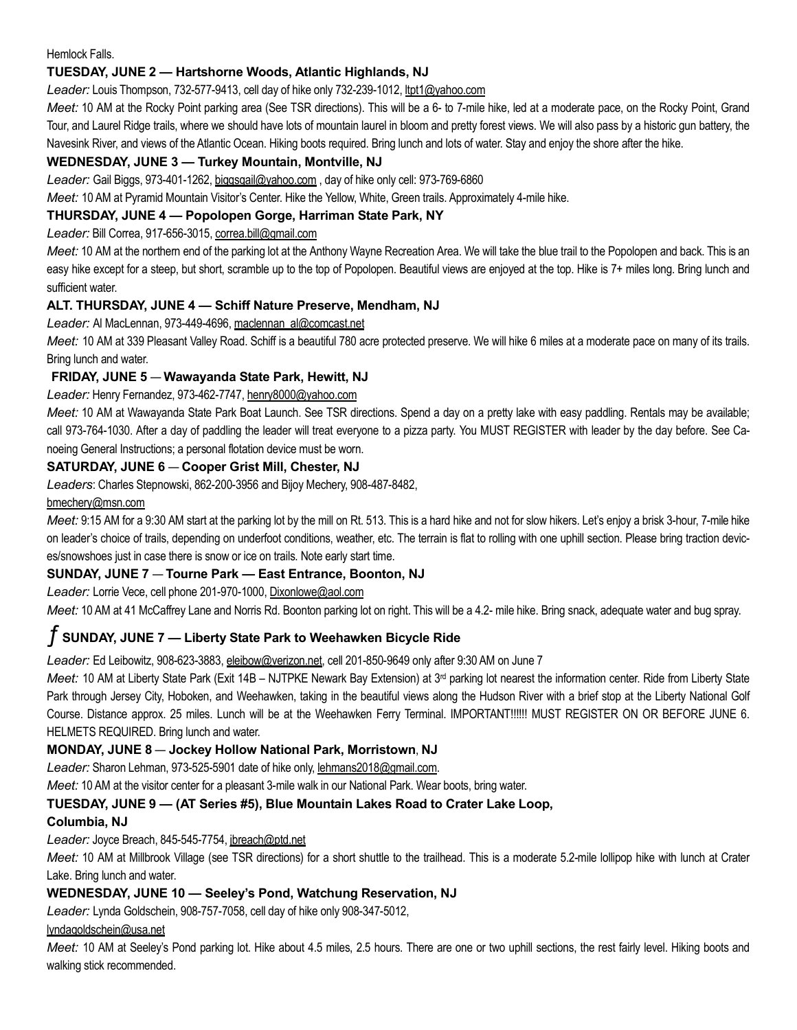Hemlock Falls.

# TUESDAY, JUNE 2 — Hartshorne Woods, Atlantic Highlands, NJ

Leader: Louis Thompson, 732-577-9413, cell day of hike only 732-239-1012, ltpt1@yahoo.com

Meet: 10 AM at the Rocky Point parking area (See TSR directions). This will be a 6- to 7-mile hike, led at a moderate pace, on the Rocky Point, Grand Tour, and Laurel Ridge trails, where we should have lots of mountain laurel in bloom and pretty forest views. We will also pass by a historic gun battery, the Navesink River, and views of the Atlantic Ocean. Hiking boots required. Bring lunch and lots of water. Stay and enjoy the shore after the hike.

# WEDNESDAY, JUNE 3 — Turkey Mountain, Montville, NJ

Leader: Gail Biggs, 973-401-1262, biggsgail@yahoo.com, day of hike only cell: 973-769-6860

Meet: 10 AM at Pyramid Mountain Visitor's Center. Hike the Yellow, White, Green trails. Approximately 4-mile hike.

## THURSDAY, JUNE 4 — Popolopen Gorge, Harriman State Park, NY

Leader: Bill Correa, 917-656-3015, correa.bill@gmail.com

Meet: 10 AM at the northem end of the parking lot at the Anthony Wayne Recreation Area. We will take the blue trail to the Popolopen and back. This is an easy hike except for a steep, but short, scramble up to the top of Popolopen. Beautiful views are enjoyed at the top. Hike is 7+ miles long. Bring lunch and sufficient water.

## ALT. THURSDAY, JUNE 4 — Schiff Nature Preserve, Mendham, NJ

Leader: Al MacLennan, 973-449-4696, maclennan\_al@comcast.net

Meet: 10 AM at 339 Pleasant Valley Road. Schiff is a beautiful 780 acre protected preserve. We will hike 6 miles at a moderate pace on many of its trails. Bring lunch and water.

# FRIDAY, JUNE 5 — Wawayanda State Park, Hewitt, NJ

Leader: Henry Fernandez, 973-462-7747, henry8000@yahoo.com

Meet: 10 AM at Wawayanda State Park Boat Launch. See TSR directions. Spend a day on a pretty lake with easy paddling. Rentals may be available; call 973-764-1030. After a day of paddling the leader will treat everyone to a pizza party. You MUST REGISTER with leader by the day before. See Canoeing General Instructions; a personal flotation device must be worn.

# SATURDAY, JUNE 6 — Cooper Grist Mill, Chester, NJ

Leaders: Charles Stepnowski, 862-200-3956 and Bijoy Mechery, 908-487-8482,

## bmechery@msn.com

Meet: 9:15 AM for a 9:30 AM start at the parking lot by the mill on Rt. 513. This is a hard hike and not for slow hikers. Let's enjoy a brisk 3-hour, 7-mile hike on leader's choice of trails, depending on underfoot conditions, weather, etc. The terrain is flat to rolling with one uphill section. Please bring traction devices/snowshoes just in case there is snow or ice on trails. Note early start time.

## SUNDAY, JUNE 7 — Tourne Park — East Entrance, Boonton, NJ

Leader: Lorrie Vece, cell phone 201-970-1000, Dixonlowe@aol.com

Meet: 10 AM at 41 McCaffrey Lane and Norris Rd. Boonton parking lot on right. This will be a 4.2- mile hike. Bring snack, adequate water and bug spray.

# ƒ SUNDAY, JUNE 7 — Liberty State Park to Weehawken Bicycle Ride

Leader: Ed Leibowitz, 908-623-3883, eleibow@verizon.net, cell 201-850-9649 only after 9:30 AM on June 7

Meet: 10 AM at Liberty State Park (Exit 14B - NJTPKE Newark Bay Extension) at 3<sup>rd</sup> parking lot nearest the information center. Ride from Liberty State Park through Jersey City, Hoboken, and Weehawken, taking in the beautiful views along the Hudson River with a brief stop at the Liberty National Golf Course. Distance approx. 25 miles. Lunch will be at the Weehawken Ferry Terminal. IMPORTANT!!!!!! MUST REGISTER ON OR BEFORE JUNE 6. HELMETS REQUIRED. Bring lunch and water.

## MONDAY, JUNE 8 — Jockey Hollow National Park, Morristown, NJ

Leader: Sharon Lehman, 973-525-5901 date of hike only, lehmans2018@gmail.com.

Meet: 10 AM at the visitor center for a pleasant 3-mile walk in our National Park. Wear boots, bring water.

## TUESDAY, JUNE 9 — (AT Series #5), Blue Mountain Lakes Road to Crater Lake Loop,

## Columbia, NJ

Leader: Joyce Breach, 845-545-7754, jbreach@ptd.net

Meet: 10 AM at Millbrook Village (see TSR directions) for a short shuttle to the trailhead. This is a moderate 5.2-mile lollipop hike with lunch at Crater Lake. Bring lunch and water.

## WEDNESDAY, JUNE 10 — Seeley's Pond, Watchung Reservation, NJ

Leader: Lynda Goldschein, 908-757-7058, cell day of hike only 908-347-5012,

## lyndagoldschein@usa.net

Meet: 10 AM at Seeley's Pond parking lot. Hike about 4.5 miles, 2.5 hours. There are one or two uphill sections, the rest fairly level. Hiking boots and walking stick recommended.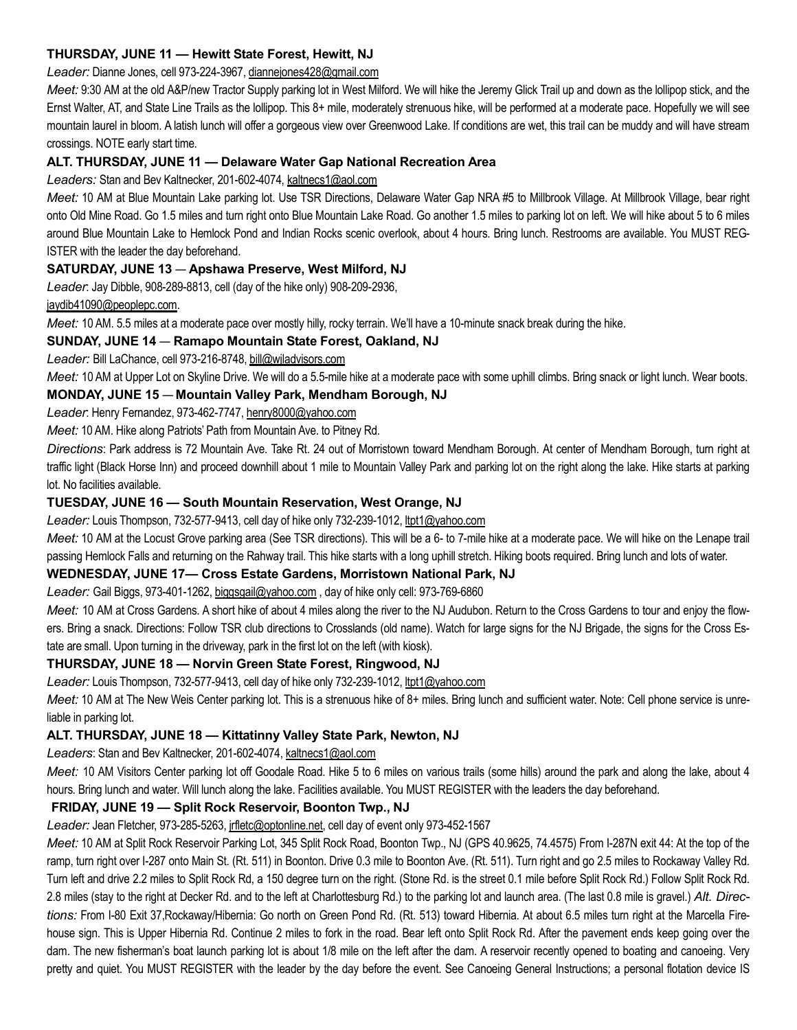# THURSDAY, JUNE 11 — Hewitt State Forest, Hewitt, NJ

#### Leader: Dianne Jones, cell 973-224-3967, diannejones428@gmail.com

Meet: 9:30 AM at the old A&P/new Tractor Supply parking lot in West Milford. We will hike the Jeremy Glick Trail up and down as the lollipop stick, and the Ernst Walter, AT, and State Line Trails as the lollipop. This 8+ mile, moderately strenuous hike, will be performed at a moderate pace. Hopefully we will see mountain laurel in bloom. A latish lunch will offer a gorgeous view over Greenwood Lake. If conditions are wet, this trail can be muddy and will have stream crossings. NOTE early start time.

## ALT. THURSDAY, JUNE 11 — Delaware Water Gap National Recreation Area

#### Leaders: Stan and Bev Kaltnecker, 201-602-4074, kaltnecs1@aol.com

Meet: 10 AM at Blue Mountain Lake parking lot. Use TSR Directions, Delaware Water Gap NRA #5 to Millbrook Village. At Millbrook Village, bear right onto Old Mine Road. Go 1.5 miles and turn right onto Blue Mountain Lake Road. Go another 1.5 miles to parking lot on left. We will hike about 5 to 6 miles around Blue Mountain Lake to Hemlock Pond and Indian Rocks scenic overlook, about 4 hours. Bring lunch. Restrooms are available. You MUST REG-ISTER with the leader the day beforehand.

## SATURDAY, JUNE 13 — Apshawa Preserve, West Milford, NJ

Leader: Jay Dibble, 908-289-8813, cell (day of the hike only) 908-209-2936,

#### jaydib41090@peoplepc.com.

Meet: 10 AM. 5.5 miles at a moderate pace over mostly hilly, rocky terrain. We'll have a 10-minute snack break during the hike.

## SUNDAY, JUNE 14 — Ramapo Mountain State Forest, Oakland, NJ

#### Leader: Bill LaChance, cell 973-216-8748, bill@wjladvisors.com

Meet: 10 AM at Upper Lot on Skyline Drive. We will do a 5.5-mile hike at a moderate pace with some uphill climbs. Bring snack or light lunch. Wear boots.

## MONDAY, JUNE 15 — Mountain Valley Park, Mendham Borough, NJ

Leader: Henry Fernandez, 973-462-7747, henry8000@yahoo.com

Meet: 10 AM. Hike along Patriots' Path from Mountain Ave. to Pitney Rd.

Directions: Park address is 72 Mountain Ave. Take Rt. 24 out of Morristown toward Mendham Borough. At center of Mendham Borough, turn right at traffic light (Black Horse Inn) and proceed downhill about 1 mile to Mountain Valley Park and parking lot on the right along the lake. Hike starts at parking lot. No facilities available.

## TUESDAY, JUNE 16 — South Mountain Reservation, West Orange, NJ

Leader: Louis Thompson, 732-577-9413, cell day of hike only 732-239-1012, ltpt1@yahoo.com

Meet: 10 AM at the Locust Grove parking area (See TSR directions). This will be a 6- to 7-mile hike at a moderate pace. We will hike on the Lenape trail passing Hemlock Falls and returning on the Rahway trail. This hike starts with a long uphill stretch. Hiking boots required. Bring lunch and lots of water.

## WEDNESDAY, JUNE 17— Cross Estate Gardens, Morristown National Park, NJ

Leader: Gail Biggs, 973-401-1262, biggsgail@yahoo.com, day of hike only cell: 973-769-6860

Meet: 10 AM at Cross Gardens. A short hike of about 4 miles along the river to the NJ Audubon. Return to the Cross Gardens to tour and enjoy the flowers. Bring a snack. Directions: Follow TSR club directions to Crosslands (old name). Watch for large signs for the NJ Brigade, the signs for the Cross Estate are small. Upon turning in the driveway, park in the first lot on the left (with kiosk).

## THURSDAY, JUNE 18 — Norvin Green State Forest, Ringwood, NJ

Leader: Louis Thompson, 732-577-9413, cell day of hike only 732-239-1012, ltpt1@yahoo.com

Meet: 10 AM at The New Weis Center parking lot. This is a strenuous hike of 8+ miles. Bring lunch and sufficient water. Note: Cell phone service is unreliable in parking lot.

## ALT. THURSDAY, JUNE 18 — Kittatinny Valley State Park, Newton, NJ

Leaders: Stan and Bev Kaltnecker, 201-602-4074, kaltnecs1@aol.com

Meet: 10 AM Visitors Center parking lot off Goodale Road. Hike 5 to 6 miles on various trails (some hills) around the park and along the lake, about 4 hours. Bring lunch and water. Will lunch along the lake. Facilities available. You MUST REGISTER with the leaders the day beforehand.

## FRIDAY, JUNE 19 — Split Rock Reservoir, Boonton Twp., NJ

## Leader: Jean Fletcher, 973-285-5263, jrfletc@optonline.net, cell day of event only 973-452-1567

Meet: 10 AM at Split Rock Reservoir Parking Lot, 345 Split Rock Road, Boonton Twp., NJ (GPS 40.9625, 74.4575) From I-287N exit 44: At the top of the ramp, turn right over I-287 onto Main St. (Rt. 511) in Boonton. Drive 0.3 mile to Boonton Ave. (Rt. 511). Turn right and go 2.5 miles to Rockaway Valley Rd. Turn left and drive 2.2 miles to Split Rock Rd, a 150 degree turn on the right. (Stone Rd. is the street 0.1 mile before Split Rock Rd.) Follow Split Rock Rd. 2.8 miles (stay to the right at Decker Rd. and to the left at Charlottesburg Rd.) to the parking lot and launch area. (The last 0.8 mile is gravel.) Alt. Directions: From I-80 Exit 37, Rockaway/Hibernia: Go north on Green Pond Rd. (Rt. 513) toward Hibernia. At about 6.5 miles turn right at the Marcella Firehouse sign. This is Upper Hibernia Rd. Continue 2 miles to fork in the road. Bear left onto Split Rock Rd. After the pavement ends keep going over the dam. The new fisherman's boat launch parking lot is about 1/8 mile on the left after the dam. A reservoir recently opened to boating and canoeing. Very pretty and quiet. You MUST REGISTER with the leader by the day before the event. See Canoeing General Instructions; a personal flotation device IS